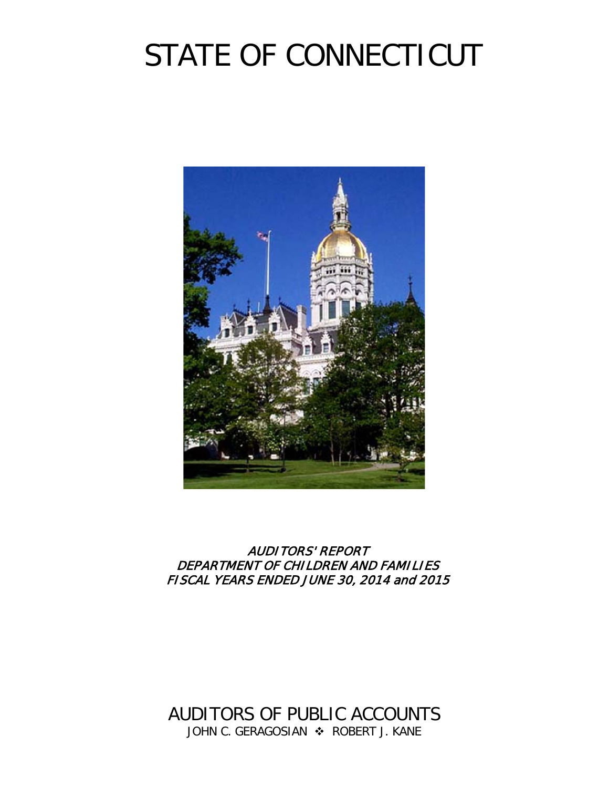# STATE OF CONNECTICUT



### AUDITORS' REPORT DEPARTMENT OF CHILDREN AND FAMILIES FISCAL YEARS ENDED JUNE 30, 2014 and 2015

AUDITORS OF PUBLIC ACCOUNTS JOHN C. GERAGOSIAN  $\cdot$  ROBERT J. KANE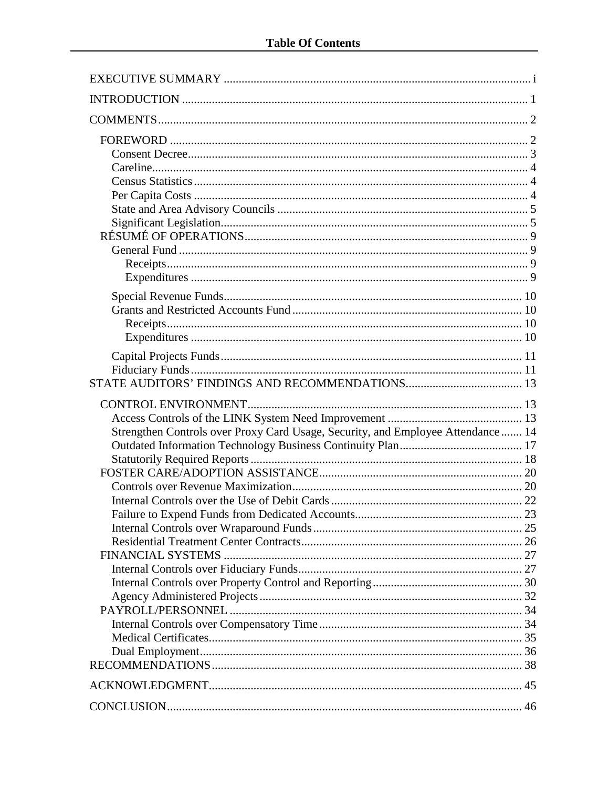| Strengthen Controls over Proxy Card Usage, Security, and Employee Attendance  14 |  |
|----------------------------------------------------------------------------------|--|
|                                                                                  |  |
|                                                                                  |  |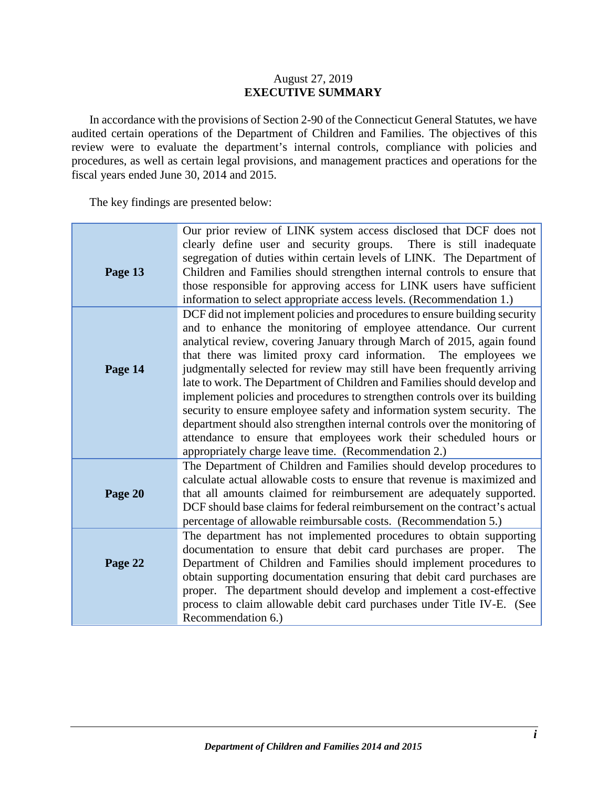### August 27, 2019 **EXECUTIVE SUMMARY**

<span id="page-2-0"></span>In accordance with the provisions of Section 2-90 of the Connecticut General Statutes, we have audited certain operations of the Department of Children and Families. The objectives of this review were to evaluate the department's internal controls, compliance with policies and procedures, as well as certain legal provisions, and management practices and operations for the fiscal years ended June 30, 2014 and 2015.

The key findings are presented below:

| Page 13 | Our prior review of LINK system access disclosed that DCF does not<br>clearly define user and security groups. There is still inadequate<br>segregation of duties within certain levels of LINK. The Department of<br>Children and Families should strengthen internal controls to ensure that<br>those responsible for approving access for LINK users have sufficient<br>information to select appropriate access levels. (Recommendation 1.)                                                                                                                                                                                                                                                                                                                                                                         |
|---------|-------------------------------------------------------------------------------------------------------------------------------------------------------------------------------------------------------------------------------------------------------------------------------------------------------------------------------------------------------------------------------------------------------------------------------------------------------------------------------------------------------------------------------------------------------------------------------------------------------------------------------------------------------------------------------------------------------------------------------------------------------------------------------------------------------------------------|
| Page 14 | DCF did not implement policies and procedures to ensure building security<br>and to enhance the monitoring of employee attendance. Our current<br>analytical review, covering January through March of 2015, again found<br>that there was limited proxy card information. The employees we<br>judgmentally selected for review may still have been frequently arriving<br>late to work. The Department of Children and Families should develop and<br>implement policies and procedures to strengthen controls over its building<br>security to ensure employee safety and information system security. The<br>department should also strengthen internal controls over the monitoring of<br>attendance to ensure that employees work their scheduled hours or<br>appropriately charge leave time. (Recommendation 2.) |
| Page 20 | The Department of Children and Families should develop procedures to<br>calculate actual allowable costs to ensure that revenue is maximized and<br>that all amounts claimed for reimbursement are adequately supported.<br>DCF should base claims for federal reimbursement on the contract's actual<br>percentage of allowable reimbursable costs. (Recommendation 5.)                                                                                                                                                                                                                                                                                                                                                                                                                                                |
| Page 22 | The department has not implemented procedures to obtain supporting<br>documentation to ensure that debit card purchases are proper.<br>The<br>Department of Children and Families should implement procedures to<br>obtain supporting documentation ensuring that debit card purchases are<br>proper. The department should develop and implement a cost-effective<br>process to claim allowable debit card purchases under Title IV-E. (See<br>Recommendation 6.)                                                                                                                                                                                                                                                                                                                                                      |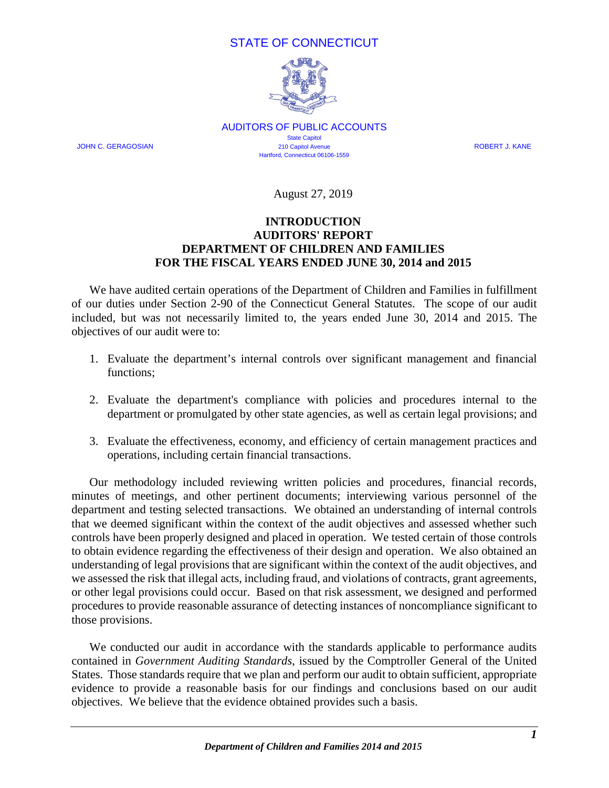### STATE OF CONNECTICUT



AUDITORS OF PUBLIC ACCOUNTS **State Capitol** JOHN C. GERAGOSIAN 210 Capitol Avenue ROBERT J. KANE Hartford, Connecticut 06106-1559

August 27, 2019

### **INTRODUCTION AUDITORS' REPORT DEPARTMENT OF CHILDREN AND FAMILIES FOR THE FISCAL YEARS ENDED JUNE 30, 2014 and 2015**

<span id="page-3-0"></span>We have audited certain operations of the Department of Children and Families in fulfillment of our duties under Section 2-90 of the Connecticut General Statutes. The scope of our audit included, but was not necessarily limited to, the years ended June 30, 2014 and 2015. The objectives of our audit were to:

- 1. Evaluate the department's internal controls over significant management and financial functions;
- 2. Evaluate the department's compliance with policies and procedures internal to the department or promulgated by other state agencies, as well as certain legal provisions; and
- 3. Evaluate the effectiveness, economy, and efficiency of certain management practices and operations, including certain financial transactions.

Our methodology included reviewing written policies and procedures, financial records, minutes of meetings, and other pertinent documents; interviewing various personnel of the department and testing selected transactions. We obtained an understanding of internal controls that we deemed significant within the context of the audit objectives and assessed whether such controls have been properly designed and placed in operation. We tested certain of those controls to obtain evidence regarding the effectiveness of their design and operation. We also obtained an understanding of legal provisions that are significant within the context of the audit objectives, and we assessed the risk that illegal acts, including fraud, and violations of contracts, grant agreements, or other legal provisions could occur. Based on that risk assessment, we designed and performed procedures to provide reasonable assurance of detecting instances of noncompliance significant to those provisions.

We conducted our audit in accordance with the standards applicable to performance audits contained in *Government Auditing Standards*, issued by the Comptroller General of the United States. Those standards require that we plan and perform our audit to obtain sufficient, appropriate evidence to provide a reasonable basis for our findings and conclusions based on our audit objectives. We believe that the evidence obtained provides such a basis.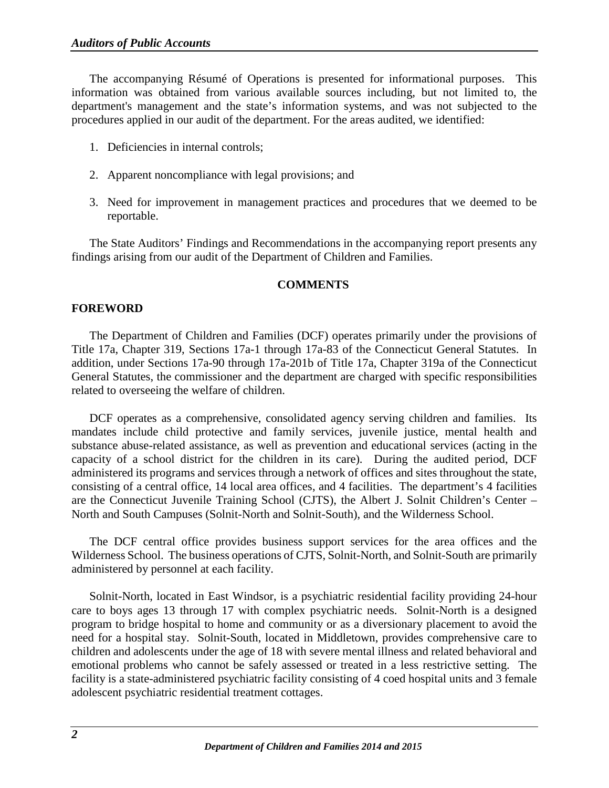The accompanying Résumé of Operations is presented for informational purposes. This information was obtained from various available sources including, but not limited to, the department's management and the state's information systems, and was not subjected to the procedures applied in our audit of the department. For the areas audited, we identified:

- 1. Deficiencies in internal controls;
- 2. Apparent noncompliance with legal provisions; and
- 3. Need for improvement in management practices and procedures that we deemed to be reportable.

The State Auditors' Findings and Recommendations in the accompanying report presents any findings arising from our audit of the Department of Children and Families.

### **COMMENTS**

### <span id="page-4-1"></span><span id="page-4-0"></span>**FOREWORD**

The Department of Children and Families (DCF) operates primarily under the provisions of Title 17a, Chapter 319, Sections 17a-1 through 17a-83 of the Connecticut General Statutes. In addition, under Sections 17a-90 through 17a-201b of Title 17a, Chapter 319a of the Connecticut General Statutes, the commissioner and the department are charged with specific responsibilities related to overseeing the welfare of children.

DCF operates as a comprehensive, consolidated agency serving children and families. Its mandates include child protective and family services, juvenile justice, mental health and substance abuse-related assistance, as well as prevention and educational services (acting in the capacity of a school district for the children in its care). During the audited period, DCF administered its programs and services through a network of offices and sites throughout the state, consisting of a central office, 14 local area offices, and 4 facilities. The department's 4 facilities are the Connecticut Juvenile Training School (CJTS), the Albert J. Solnit Children's Center – North and South Campuses (Solnit-North and Solnit-South), and the Wilderness School.

The DCF central office provides business support services for the area offices and the Wilderness School. The business operations of CJTS, Solnit-North, and Solnit-South are primarily administered by personnel at each facility.

Solnit-North, located in East Windsor, is a psychiatric residential facility providing 24-hour care to boys ages 13 through 17 with complex psychiatric needs. Solnit-North is a designed program to bridge hospital to home and community or as a diversionary placement to avoid the need for a hospital stay. Solnit-South, located in Middletown, provides comprehensive care to children and adolescents under the age of 18 with severe mental illness and related behavioral and emotional problems who cannot be safely assessed or treated in a less restrictive setting. The facility is a state-administered psychiatric facility consisting of 4 coed hospital units and 3 female adolescent psychiatric residential treatment cottages.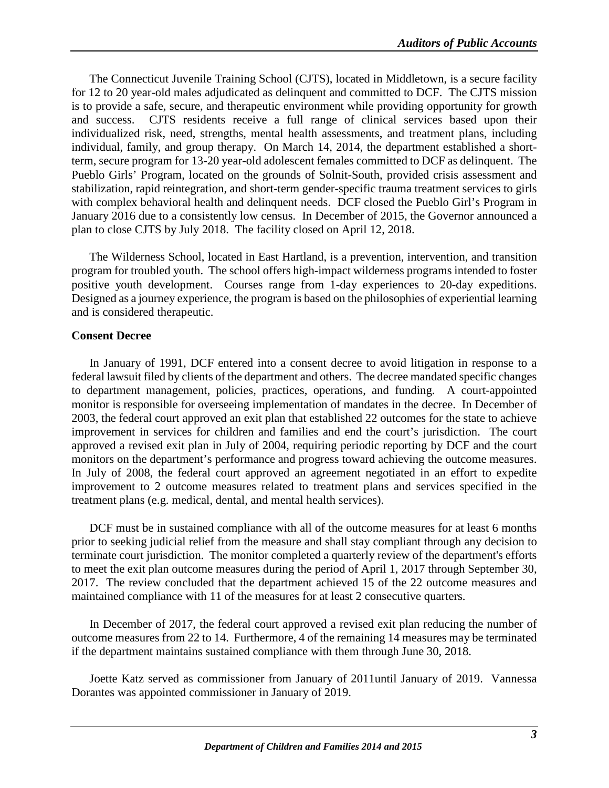The Connecticut Juvenile Training School (CJTS), located in Middletown, is a secure facility for 12 to 20 year-old males adjudicated as delinquent and committed to DCF. The CJTS mission is to provide a safe, secure, and therapeutic environment while providing opportunity for growth and success. CJTS residents receive a full range of clinical services based upon their individualized risk, need, strengths, mental health assessments, and treatment plans, including individual, family, and group therapy. On March 14, 2014, the department established a shortterm, secure program for 13-20 year-old adolescent females committed to DCF as delinquent. The Pueblo Girls' Program, located on the grounds of Solnit-South, provided crisis assessment and stabilization, rapid reintegration, and short-term gender-specific trauma treatment services to girls with complex behavioral health and delinquent needs. DCF closed the Pueblo Girl's Program in January 2016 due to a consistently low census. In December of 2015, the Governor announced a plan to close CJTS by July 2018. The facility closed on April 12, 2018.

The Wilderness School, located in East Hartland, is a prevention, intervention, and transition program for troubled youth. The school offers high-impact wilderness programs intended to foster positive youth development. Courses range from 1-day experiences to 20-day expeditions. Designed as a journey experience, the program is based on the philosophies of experiential learning and is considered therapeutic.

### <span id="page-5-0"></span>**Consent Decree**

In January of 1991, DCF entered into a consent decree to avoid litigation in response to a federal lawsuit filed by clients of the department and others. The decree mandated specific changes to department management, policies, practices, operations, and funding. A court-appointed monitor is responsible for overseeing implementation of mandates in the decree. In December of 2003, the federal court approved an exit plan that established 22 outcomes for the state to achieve improvement in services for children and families and end the court's jurisdiction. The court approved a revised exit plan in July of 2004, requiring periodic reporting by DCF and the court monitors on the department's performance and progress toward achieving the outcome measures. In July of 2008, the federal court approved an agreement negotiated in an effort to expedite improvement to 2 outcome measures related to treatment plans and services specified in the treatment plans (e.g. medical, dental, and mental health services).

DCF must be in sustained compliance with all of the outcome measures for at least 6 months prior to seeking judicial relief from the measure and shall stay compliant through any decision to terminate court jurisdiction. The monitor completed a quarterly review of the department's efforts to meet the exit plan outcome measures during the period of April 1, 2017 through September 30, 2017. The review concluded that the department achieved 15 of the 22 outcome measures and maintained compliance with 11 of the measures for at least 2 consecutive quarters.

In December of 2017, the federal court approved a revised exit plan reducing the number of outcome measures from 22 to 14. Furthermore, 4 of the remaining 14 measures may be terminated if the department maintains sustained compliance with them through June 30, 2018.

Joette Katz served as commissioner from January of 2011until January of 2019. Vannessa Dorantes was appointed commissioner in January of 2019.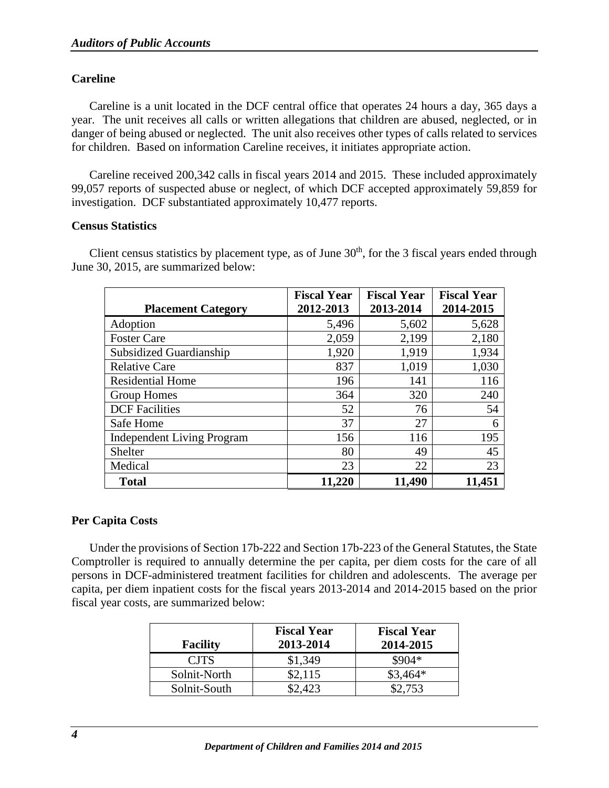### <span id="page-6-0"></span>**Careline**

Careline is a unit located in the DCF central office that operates 24 hours a day, 365 days a year. The unit receives all calls or written allegations that children are abused, neglected, or in danger of being abused or neglected. The unit also receives other types of calls related to services for children. Based on information Careline receives, it initiates appropriate action.

Careline received 200,342 calls in fiscal years 2014 and 2015. These included approximately 99,057 reports of suspected abuse or neglect, of which DCF accepted approximately 59,859 for investigation. DCF substantiated approximately 10,477 reports.

### <span id="page-6-1"></span>**Census Statistics**

Client census statistics by placement type, as of June  $30<sup>th</sup>$ , for the 3 fiscal years ended through June 30, 2015, are summarized below:

| <b>Placement Category</b>         | <b>Fiscal Year</b><br>2012-2013 | <b>Fiscal Year</b><br>2013-2014 | <b>Fiscal Year</b><br>2014-2015 |
|-----------------------------------|---------------------------------|---------------------------------|---------------------------------|
| Adoption                          | 5,496                           | 5,602                           | 5,628                           |
| <b>Foster Care</b>                | 2,059                           | 2,199                           | 2,180                           |
| Subsidized Guardianship           | 1,920                           | 1,919                           | 1,934                           |
| <b>Relative Care</b>              | 837                             | 1,019                           | 1,030                           |
| <b>Residential Home</b>           | 196                             | 141                             | 116                             |
| <b>Group Homes</b>                | 364                             | 320                             | 240                             |
| <b>DCF</b> Facilities             | 52                              | 76                              | 54                              |
| Safe Home                         | 37                              | 27                              | 6                               |
| <b>Independent Living Program</b> | 156                             | 116                             | 195                             |
| Shelter                           | 80                              | 49                              | 45                              |
| Medical                           | 23                              | 22                              | 23                              |
| <b>Total</b>                      | 11,220                          | 11,490                          | 11,451                          |

### <span id="page-6-2"></span>**Per Capita Costs**

Under the provisions of Section 17b-222 and Section 17b-223 of the General Statutes, the State Comptroller is required to annually determine the per capita, per diem costs for the care of all persons in DCF-administered treatment facilities for children and adolescents. The average per capita, per diem inpatient costs for the fiscal years 2013-2014 and 2014-2015 based on the prior fiscal year costs, are summarized below:

| <b>Facility</b> | <b>Fiscal Year</b><br>2013-2014 | <b>Fiscal Year</b><br>2014-2015 |
|-----------------|---------------------------------|---------------------------------|
| <b>CJTS</b>     | \$1,349                         | $$904*$                         |
| Solnit-North    | \$2,115                         | $$3,464*$                       |
| Solnit-South    | \$2.423                         | \$2.753                         |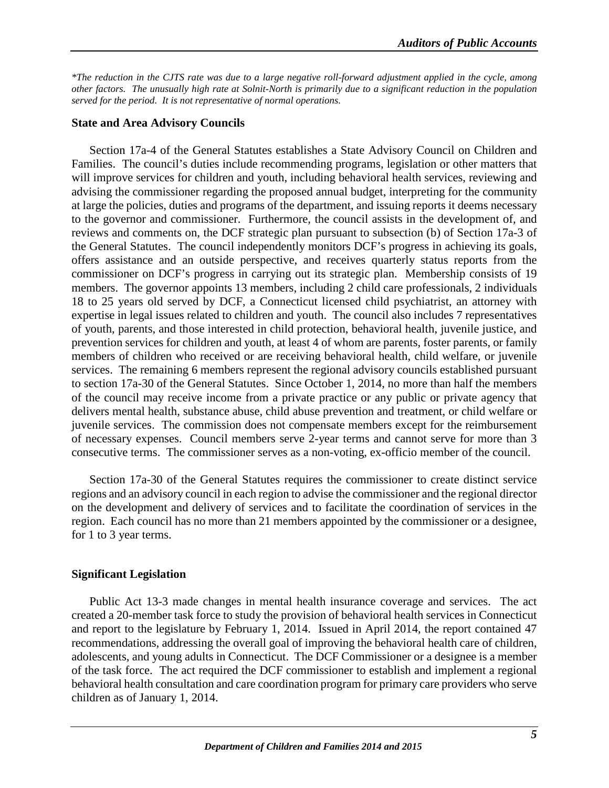*\*The reduction in the CJTS rate was due to a large negative roll-forward adjustment applied in the cycle, among other factors. The unusually high rate at Solnit-North is primarily due to a significant reduction in the population served for the period. It is not representative of normal operations.*

### <span id="page-7-0"></span>**State and Area Advisory Councils**

Section 17a-4 of the General Statutes establishes a State Advisory Council on Children and Families. The council's duties include recommending programs, legislation or other matters that will improve services for children and youth, including behavioral health services, reviewing and advising the commissioner regarding the proposed annual budget, interpreting for the community at large the policies, duties and programs of the department, and issuing reports it deems necessary to the governor and commissioner. Furthermore, the council assists in the development of, and reviews and comments on, the DCF strategic plan pursuant to subsection (b) of Section 17a-3 of the General Statutes. The council independently monitors DCF's progress in achieving its goals, offers assistance and an outside perspective, and receives quarterly status reports from the commissioner on DCF's progress in carrying out its strategic plan. Membership consists of 19 members. The governor appoints 13 members, including 2 child care professionals, 2 individuals 18 to 25 years old served by DCF, a Connecticut licensed child psychiatrist, an attorney with expertise in legal issues related to children and youth. The council also includes 7 representatives of youth, parents, and those interested in child protection, behavioral health, juvenile justice, and prevention services for children and youth, at least 4 of whom are parents, foster parents, or family members of children who received or are receiving behavioral health, child welfare, or juvenile services. The remaining 6 members represent the regional advisory councils established pursuant to section 17a-30 of the General Statutes. Since October 1, 2014, no more than half the members of the council may receive income from a private practice or any public or private agency that delivers mental health, substance abuse, child abuse prevention and treatment, or child welfare or juvenile services. The commission does not compensate members except for the reimbursement of necessary expenses. Council members serve 2-year terms and cannot serve for more than 3 consecutive terms. The commissioner serves as a non-voting, ex-officio member of the council.

Section 17a-30 of the General Statutes requires the commissioner to create distinct service regions and an advisory council in each region to advise the commissioner and the regional director on the development and delivery of services and to facilitate the coordination of services in the region. Each council has no more than 21 members appointed by the commissioner or a designee, for 1 to 3 year terms.

### <span id="page-7-1"></span>**Significant Legislation**

Public Act 13-3 made changes in mental health insurance coverage and services. The act created a 20-member task force to study the provision of behavioral health services in Connecticut and report to the legislature by February 1, 2014. Issued in April 2014, the report contained 47 recommendations, addressing the overall goal of improving the behavioral health care of children, adolescents, and young adults in Connecticut. The DCF Commissioner or a designee is a member of the task force. The act required the DCF commissioner to establish and implement a regional behavioral health consultation and care coordination program for primary care providers who serve children as of January 1, 2014.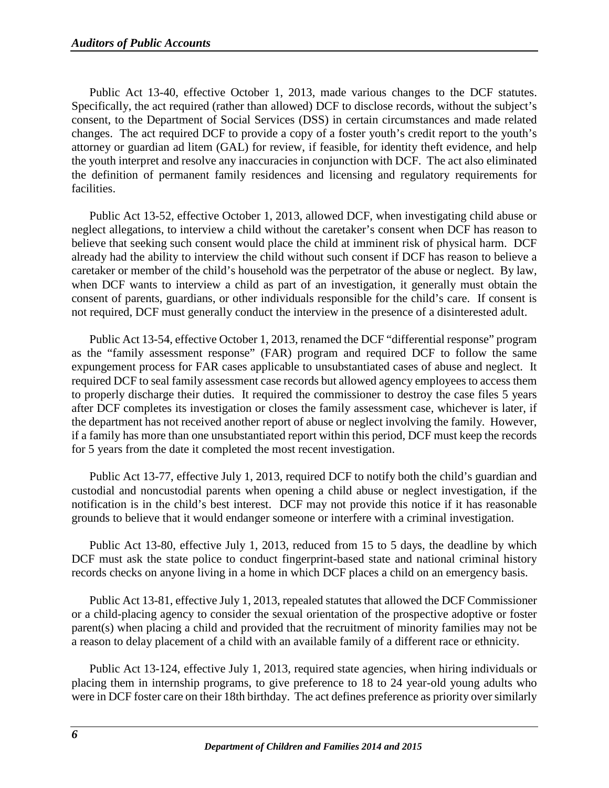Public Act 13-40, effective October 1, 2013, made various changes to the DCF statutes. Specifically, the act required (rather than allowed) DCF to disclose records, without the subject's consent, to the Department of Social Services (DSS) in certain circumstances and made related changes. The act required DCF to provide a copy of a foster youth's credit report to the youth's attorney or guardian ad litem (GAL) for review, if feasible, for identity theft evidence, and help the youth interpret and resolve any inaccuracies in conjunction with DCF. The act also eliminated the definition of permanent family residences and licensing and regulatory requirements for facilities.

Public Act 13-52, effective October 1, 2013, allowed DCF, when investigating child abuse or neglect allegations, to interview a child without the caretaker's consent when DCF has reason to believe that seeking such consent would place the child at imminent risk of physical harm. DCF already had the ability to interview the child without such consent if DCF has reason to believe a caretaker or member of the child's household was the perpetrator of the abuse or neglect. By law, when DCF wants to interview a child as part of an investigation, it generally must obtain the consent of parents, guardians, or other individuals responsible for the child's care. If consent is not required, DCF must generally conduct the interview in the presence of a disinterested adult.

Public Act 13-54, effective October 1, 2013, renamed the DCF "differential response" program as the "family assessment response" (FAR) program and required DCF to follow the same expungement process for FAR cases applicable to unsubstantiated cases of abuse and neglect. It required DCF to seal family assessment case records but allowed agency employees to access them to properly discharge their duties. It required the commissioner to destroy the case files 5 years after DCF completes its investigation or closes the family assessment case, whichever is later, if the department has not received another report of abuse or neglect involving the family. However, if a family has more than one unsubstantiated report within this period, DCF must keep the records for 5 years from the date it completed the most recent investigation.

Public Act 13-77, effective July 1, 2013, required DCF to notify both the child's guardian and custodial and noncustodial parents when opening a child abuse or neglect investigation, if the notification is in the child's best interest. DCF may not provide this notice if it has reasonable grounds to believe that it would endanger someone or interfere with a criminal investigation.

Public Act 13-80, effective July 1, 2013, reduced from 15 to 5 days, the deadline by which DCF must ask the state police to conduct fingerprint-based state and national criminal history records checks on anyone living in a home in which DCF places a child on an emergency basis.

Public Act 13-81, effective July 1, 2013, repealed statutes that allowed the DCF Commissioner or a child-placing agency to consider the sexual orientation of the prospective adoptive or foster parent(s) when placing a child and provided that the recruitment of minority families may not be a reason to delay placement of a child with an available family of a different race or ethnicity.

Public Act 13-124, effective July 1, 2013, required state agencies, when hiring individuals or placing them in internship programs, to give preference to 18 to 24 year-old young adults who were in DCF foster care on their 18th birthday. The act defines preference as priority over similarly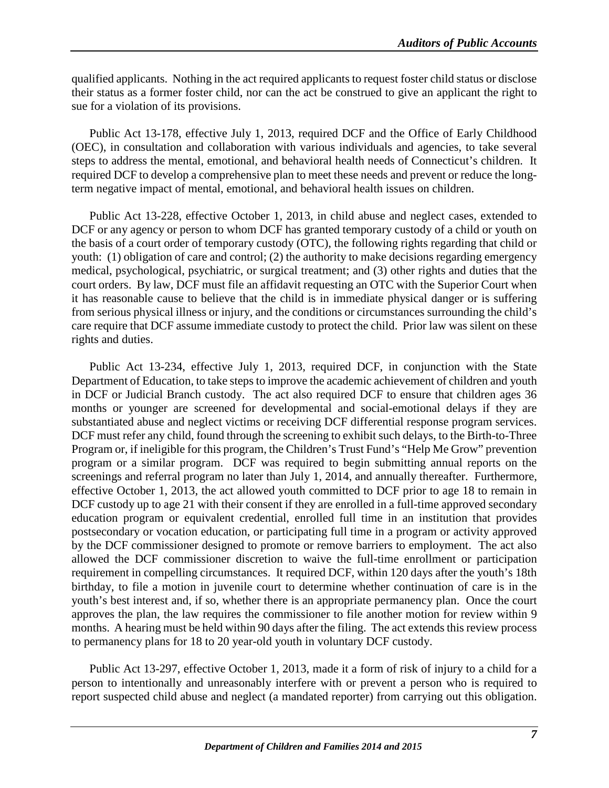qualified applicants. Nothing in the act required applicants to request foster child status or disclose their status as a former foster child, nor can the act be construed to give an applicant the right to sue for a violation of its provisions.

Public Act 13-178, effective July 1, 2013, required DCF and the Office of Early Childhood (OEC), in consultation and collaboration with various individuals and agencies, to take several steps to address the mental, emotional, and behavioral health needs of Connecticut's children. It required DCF to develop a comprehensive plan to meet these needs and prevent or reduce the longterm negative impact of mental, emotional, and behavioral health issues on children.

Public Act 13-228, effective October 1, 2013, in child abuse and neglect cases, extended to DCF or any agency or person to whom DCF has granted temporary custody of a child or youth on the basis of a court order of temporary custody (OTC), the following rights regarding that child or youth: (1) obligation of care and control; (2) the authority to make decisions regarding emergency medical, psychological, psychiatric, or surgical treatment; and (3) other rights and duties that the court orders. By law, DCF must file an affidavit requesting an OTC with the Superior Court when it has reasonable cause to believe that the child is in immediate physical danger or is suffering from serious physical illness or injury, and the conditions or circumstances surrounding the child's care require that DCF assume immediate custody to protect the child. Prior law was silent on these rights and duties.

Public Act 13-234, effective July 1, 2013, required DCF, in conjunction with the State Department of Education, to take steps to improve the academic achievement of children and youth in DCF or Judicial Branch custody. The act also required DCF to ensure that children ages 36 months or younger are screened for developmental and social-emotional delays if they are substantiated abuse and neglect victims or receiving DCF differential response program services. DCF must refer any child, found through the screening to exhibit such delays, to the Birth-to-Three Program or, if ineligible for this program, the Children's Trust Fund's "Help Me Grow" prevention program or a similar program. DCF was required to begin submitting annual reports on the screenings and referral program no later than July 1, 2014, and annually thereafter. Furthermore, effective October 1, 2013, the act allowed youth committed to DCF prior to age 18 to remain in DCF custody up to age 21 with their consent if they are enrolled in a full-time approved secondary education program or equivalent credential, enrolled full time in an institution that provides postsecondary or vocation education, or participating full time in a program or activity approved by the DCF commissioner designed to promote or remove barriers to employment. The act also allowed the DCF commissioner discretion to waive the full-time enrollment or participation requirement in compelling circumstances. It required DCF, within 120 days after the youth's 18th birthday, to file a motion in juvenile court to determine whether continuation of care is in the youth's best interest and, if so, whether there is an appropriate permanency plan. Once the court approves the plan, the law requires the commissioner to file another motion for review within 9 months. A hearing must be held within 90 days after the filing. The act extends this review process to permanency plans for 18 to 20 year-old youth in voluntary DCF custody.

Public Act 13-297, effective October 1, 2013, made it a form of risk of injury to a child for a person to intentionally and unreasonably interfere with or prevent a person who is required to report suspected child abuse and neglect (a mandated reporter) from carrying out this obligation.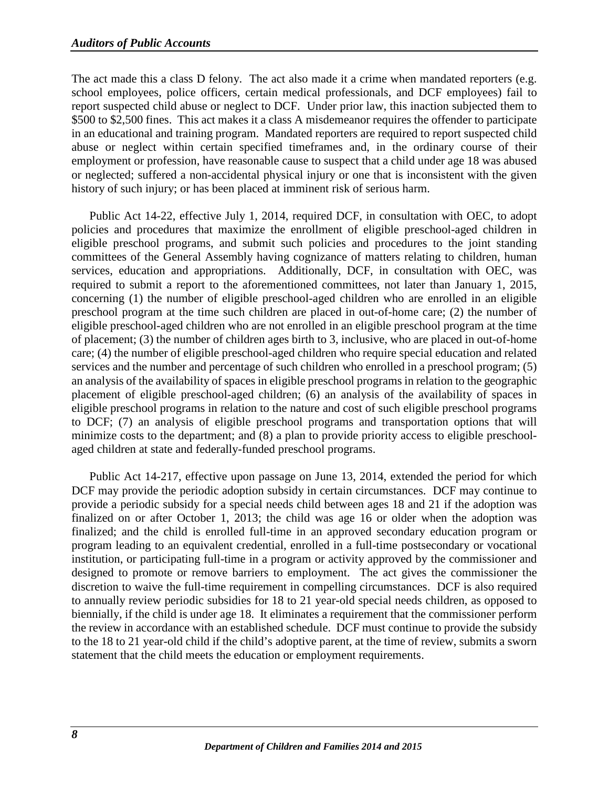The act made this a class D felony. The act also made it a crime when mandated reporters (e.g. school employees, police officers, certain medical professionals, and DCF employees) fail to report suspected child abuse or neglect to DCF. Under prior law, this inaction subjected them to \$500 to \$2,500 fines. This act makes it a class A misdemeanor requires the offender to participate in an educational and training program. Mandated reporters are required to report suspected child abuse or neglect within certain specified timeframes and, in the ordinary course of their employment or profession, have reasonable cause to suspect that a child under age 18 was abused or neglected; suffered a non-accidental physical injury or one that is inconsistent with the given history of such injury; or has been placed at imminent risk of serious harm.

Public Act 14-22, effective July 1, 2014, required DCF, in consultation with OEC, to adopt policies and procedures that maximize the enrollment of eligible preschool-aged children in eligible preschool programs, and submit such policies and procedures to the joint standing committees of the General Assembly having cognizance of matters relating to children, human services, education and appropriations. Additionally, DCF, in consultation with OEC, was required to submit a report to the aforementioned committees, not later than January 1, 2015, concerning (1) the number of eligible preschool-aged children who are enrolled in an eligible preschool program at the time such children are placed in out-of-home care; (2) the number of eligible preschool-aged children who are not enrolled in an eligible preschool program at the time of placement; (3) the number of children ages birth to 3, inclusive, who are placed in out-of-home care; (4) the number of eligible preschool-aged children who require special education and related services and the number and percentage of such children who enrolled in a preschool program; (5) an analysis of the availability of spaces in eligible preschool programs in relation to the geographic placement of eligible preschool-aged children; (6) an analysis of the availability of spaces in eligible preschool programs in relation to the nature and cost of such eligible preschool programs to DCF; (7) an analysis of eligible preschool programs and transportation options that will minimize costs to the department; and (8) a plan to provide priority access to eligible preschoolaged children at state and federally-funded preschool programs.

Public Act 14-217, effective upon passage on June 13, 2014, extended the period for which DCF may provide the periodic adoption subsidy in certain circumstances. DCF may continue to provide a periodic subsidy for a special needs child between ages 18 and 21 if the adoption was finalized on or after October 1, 2013; the child was age 16 or older when the adoption was finalized; and the child is enrolled full-time in an approved secondary education program or program leading to an equivalent credential, enrolled in a full-time postsecondary or vocational institution, or participating full-time in a program or activity approved by the commissioner and designed to promote or remove barriers to employment. The act gives the commissioner the discretion to waive the full-time requirement in compelling circumstances. DCF is also required to annually review periodic subsidies for 18 to 21 year-old special needs children, as opposed to biennially, if the child is under age 18. It eliminates a requirement that the commissioner perform the review in accordance with an established schedule. DCF must continue to provide the subsidy to the 18 to 21 year-old child if the child's adoptive parent, at the time of review, submits a sworn statement that the child meets the education or employment requirements.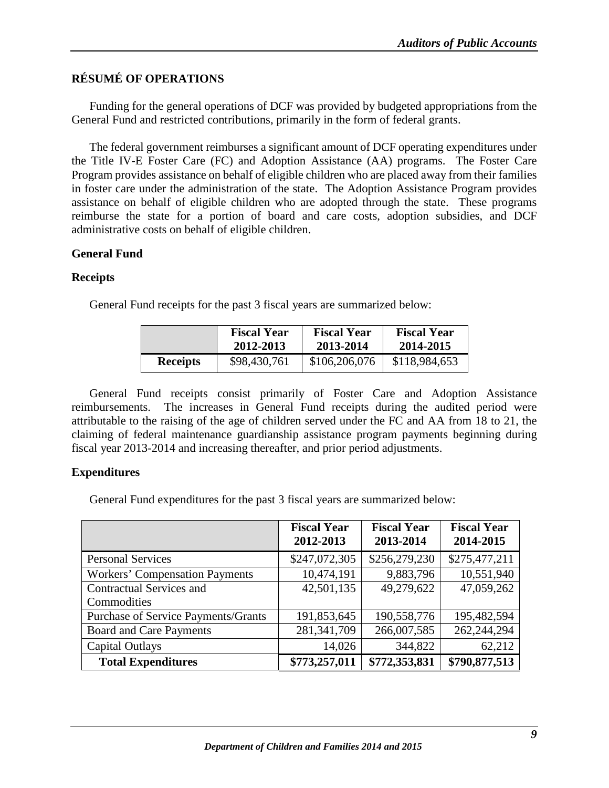# <span id="page-11-0"></span>**RÉSUMÉ OF OPERATIONS**

Funding for the general operations of DCF was provided by budgeted appropriations from the General Fund and restricted contributions, primarily in the form of federal grants.

The federal government reimburses a significant amount of DCF operating expenditures under the Title IV-E Foster Care (FC) and Adoption Assistance (AA) programs. The Foster Care Program provides assistance on behalf of eligible children who are placed away from their families in foster care under the administration of the state. The Adoption Assistance Program provides assistance on behalf of eligible children who are adopted through the state. These programs reimburse the state for a portion of board and care costs, adoption subsidies, and DCF administrative costs on behalf of eligible children.

### <span id="page-11-1"></span>**General Fund**

### <span id="page-11-2"></span>**Receipts**

General Fund receipts for the past 3 fiscal years are summarized below:

|                 | <b>Fiscal Year</b> | <b>Fiscal Year</b> | <b>Fiscal Year</b> |
|-----------------|--------------------|--------------------|--------------------|
|                 | 2012-2013          | 2013-2014          | 2014-2015          |
| <b>Receipts</b> | \$98,430,761       | \$106,206,076      | \$118,984,653      |

General Fund receipts consist primarily of Foster Care and Adoption Assistance reimbursements. The increases in General Fund receipts during the audited period were attributable to the raising of the age of children served under the FC and AA from 18 to 21, the claiming of federal maintenance guardianship assistance program payments beginning during fiscal year 2013-2014 and increasing thereafter, and prior period adjustments.

### <span id="page-11-3"></span>**Expenditures**

General Fund expenditures for the past 3 fiscal years are summarized below:

|                                       | <b>Fiscal Year</b><br>2012-2013 | <b>Fiscal Year</b><br>2013-2014 | <b>Fiscal Year</b><br>2014-2015 |
|---------------------------------------|---------------------------------|---------------------------------|---------------------------------|
| <b>Personal Services</b>              | \$247,072,305                   | \$256,279,230                   | \$275,477,211                   |
| <b>Workers' Compensation Payments</b> | 10,474,191                      | 9,883,796                       | 10,551,940                      |
| <b>Contractual Services and</b>       | 42,501,135                      | 49,279,622                      | 47,059,262                      |
| Commodities                           |                                 |                                 |                                 |
| Purchase of Service Payments/Grants   | 191,853,645                     | 190,558,776                     | 195,482,594                     |
| <b>Board and Care Payments</b>        | 281, 341, 709                   | 266,007,585                     | 262,244,294                     |
| <b>Capital Outlays</b>                | 14,026                          | 344,822                         | 62,212                          |
| <b>Total Expenditures</b>             | \$773,257,011                   | \$772,353,831                   | \$790,877,513                   |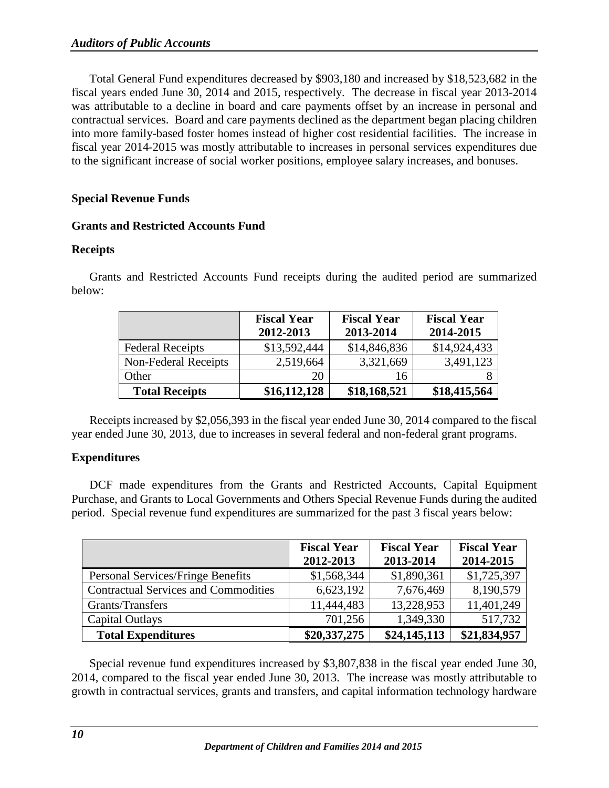Total General Fund expenditures decreased by \$903,180 and increased by \$18,523,682 in the fiscal years ended June 30, 2014 and 2015, respectively. The decrease in fiscal year 2013-2014 was attributable to a decline in board and care payments offset by an increase in personal and contractual services. Board and care payments declined as the department began placing children into more family-based foster homes instead of higher cost residential facilities. The increase in fiscal year 2014-2015 was mostly attributable to increases in personal services expenditures due to the significant increase of social worker positions, employee salary increases, and bonuses.

### <span id="page-12-0"></span>**Special Revenue Funds**

### <span id="page-12-1"></span>**Grants and Restricted Accounts Fund**

### <span id="page-12-2"></span>**Receipts**

Grants and Restricted Accounts Fund receipts during the audited period are summarized below:

|                         | <b>Fiscal Year</b><br>2012-2013 | <b>Fiscal Year</b><br>2013-2014 | <b>Fiscal Year</b><br>2014-2015 |
|-------------------------|---------------------------------|---------------------------------|---------------------------------|
| <b>Federal Receipts</b> | \$13,592,444                    | \$14,846,836                    | \$14,924,433                    |
| Non-Federal Receipts    | 2,519,664                       | 3,321,669                       | 3,491,123                       |
| Other                   | 20                              | 16                              |                                 |
| <b>Total Receipts</b>   | \$16,112,128                    | \$18,168,521                    | \$18,415,564                    |

Receipts increased by \$2,056,393 in the fiscal year ended June 30, 2014 compared to the fiscal year ended June 30, 2013, due to increases in several federal and non-federal grant programs.

### <span id="page-12-3"></span>**Expenditures**

DCF made expenditures from the Grants and Restricted Accounts, Capital Equipment Purchase, and Grants to Local Governments and Others Special Revenue Funds during the audited period. Special revenue fund expenditures are summarized for the past 3 fiscal years below:

|                                             | <b>Fiscal Year</b><br>2012-2013 | <b>Fiscal Year</b><br>2013-2014 | <b>Fiscal Year</b><br>2014-2015 |
|---------------------------------------------|---------------------------------|---------------------------------|---------------------------------|
| Personal Services/Fringe Benefits           | \$1,568,344                     | \$1,890,361                     | \$1,725,397                     |
| <b>Contractual Services and Commodities</b> | 6,623,192                       | 7,676,469                       | 8,190,579                       |
| Grants/Transfers                            | 11,444,483                      | 13,228,953                      | 11,401,249                      |
| Capital Outlays                             | 701,256                         | 1,349,330                       | 517,732                         |
| <b>Total Expenditures</b>                   | \$20,337,275                    | \$24,145,113                    | \$21,834,957                    |

Special revenue fund expenditures increased by \$3,807,838 in the fiscal year ended June 30, 2014, compared to the fiscal year ended June 30, 2013. The increase was mostly attributable to growth in contractual services, grants and transfers, and capital information technology hardware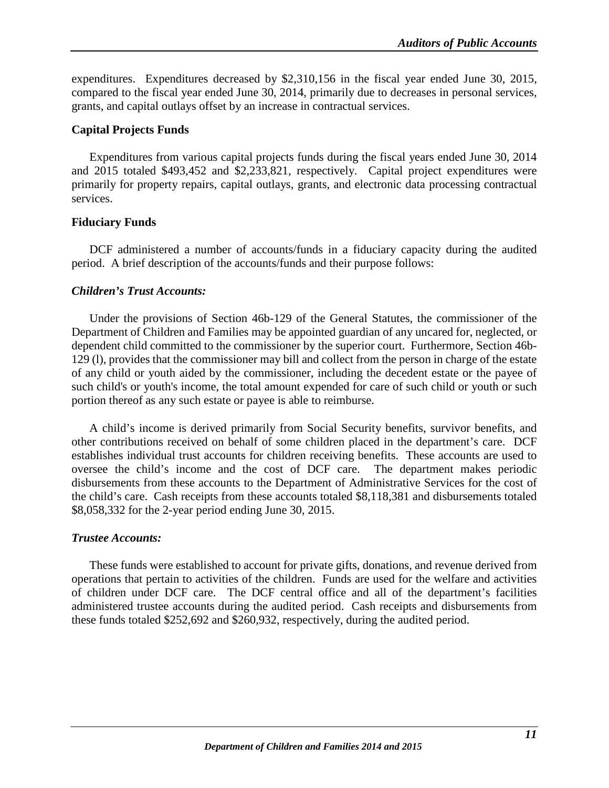expenditures. Expenditures decreased by \$2,310,156 in the fiscal year ended June 30, 2015, compared to the fiscal year ended June 30, 2014, primarily due to decreases in personal services, grants, and capital outlays offset by an increase in contractual services.

### <span id="page-13-0"></span>**Capital Projects Funds**

Expenditures from various capital projects funds during the fiscal years ended June 30, 2014 and 2015 totaled \$493,452 and \$2,233,821, respectively. Capital project expenditures were primarily for property repairs, capital outlays, grants, and electronic data processing contractual services.

### <span id="page-13-1"></span>**Fiduciary Funds**

DCF administered a number of accounts/funds in a fiduciary capacity during the audited period. A brief description of the accounts/funds and their purpose follows:

### *Children's Trust Accounts:*

Under the provisions of Section 46b-129 of the General Statutes, the commissioner of the Department of Children and Families may be appointed guardian of any uncared for, neglected, or dependent child committed to the commissioner by the superior court. Furthermore, Section 46b-129 (l), provides that the commissioner may bill and collect from the person in charge of the estate of any child or youth aided by the commissioner, including the decedent estate or the payee of such child's or youth's income, the total amount expended for care of such child or youth or such portion thereof as any such estate or payee is able to reimburse.

A child's income is derived primarily from Social Security benefits, survivor benefits, and other contributions received on behalf of some children placed in the department's care. DCF establishes individual trust accounts for children receiving benefits. These accounts are used to oversee the child's income and the cost of DCF care. The department makes periodic disbursements from these accounts to the Department of Administrative Services for the cost of the child's care. Cash receipts from these accounts totaled \$8,118,381 and disbursements totaled \$8,058,332 for the 2-year period ending June 30, 2015.

### *Trustee Accounts:*

These funds were established to account for private gifts, donations, and revenue derived from operations that pertain to activities of the children. Funds are used for the welfare and activities of children under DCF care. The DCF central office and all of the department's facilities administered trustee accounts during the audited period. Cash receipts and disbursements from these funds totaled \$252,692 and \$260,932, respectively, during the audited period.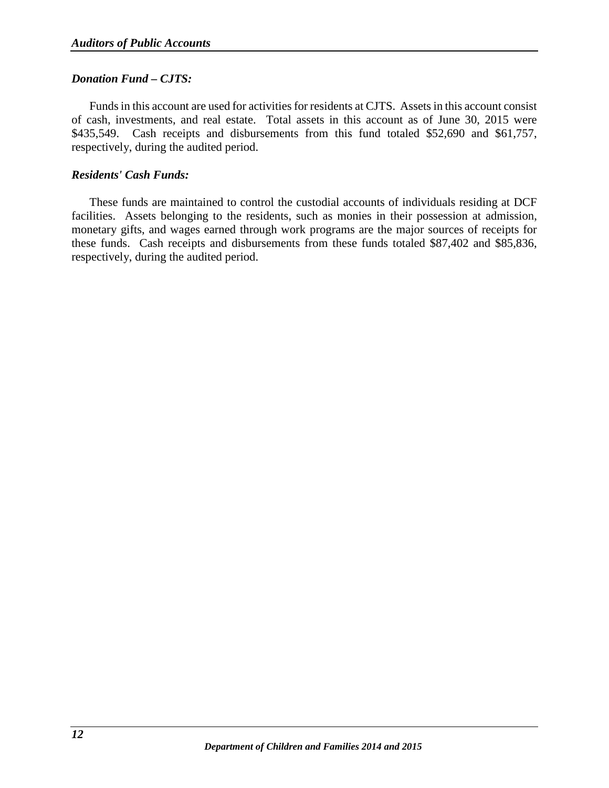### *Donation Fund – CJTS:*

Funds in this account are used for activities for residents at CJTS. Assets in this account consist of cash, investments, and real estate. Total assets in this account as of June 30, 2015 were \$435,549. Cash receipts and disbursements from this fund totaled \$52,690 and \$61,757, respectively, during the audited period.

### *Residents' Cash Funds:*

These funds are maintained to control the custodial accounts of individuals residing at DCF facilities. Assets belonging to the residents, such as monies in their possession at admission, monetary gifts, and wages earned through work programs are the major sources of receipts for these funds. Cash receipts and disbursements from these funds totaled \$87,402 and \$85,836, respectively, during the audited period.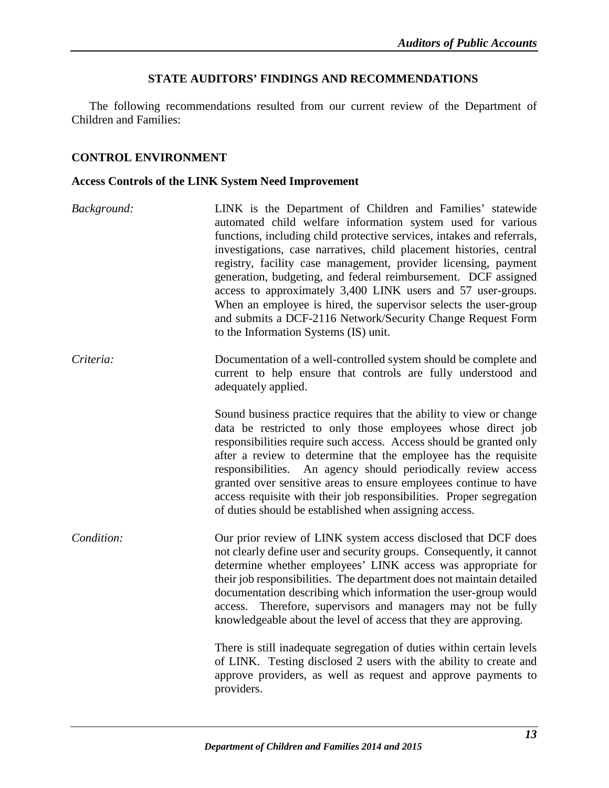### **STATE AUDITORS' FINDINGS AND RECOMMENDATIONS**

<span id="page-15-0"></span>The following recommendations resulted from our current review of the Department of Children and Families:

### <span id="page-15-1"></span>**CONTROL ENVIRONMENT**

#### <span id="page-15-2"></span>**Access Controls of the LINK System Need Improvement**

- *Background:* LINK is the Department of Children and Families' statewide automated child welfare information system used for various functions, including child protective services, intakes and referrals, investigations, case narratives, child placement histories, central registry, facility case management, provider licensing, payment generation, budgeting, and federal reimbursement. DCF assigned access to approximately 3,400 LINK users and 57 user-groups. When an employee is hired, the supervisor selects the user-group and submits a DCF-2116 Network/Security Change Request Form to the Information Systems (IS) unit.
- *Criteria:* Documentation of a well-controlled system should be complete and current to help ensure that controls are fully understood and adequately applied.

Sound business practice requires that the ability to view or change data be restricted to only those employees whose direct job responsibilities require such access. Access should be granted only after a review to determine that the employee has the requisite responsibilities. An agency should periodically review access granted over sensitive areas to ensure employees continue to have access requisite with their job responsibilities. Proper segregation of duties should be established when assigning access.

*Condition:* Our prior review of LINK system access disclosed that DCF does not clearly define user and security groups. Consequently, it cannot determine whether employees' LINK access was appropriate for their job responsibilities. The department does not maintain detailed documentation describing which information the user-group would access. Therefore, supervisors and managers may not be fully knowledgeable about the level of access that they are approving.

> There is still inadequate segregation of duties within certain levels of LINK. Testing disclosed 2 users with the ability to create and approve providers, as well as request and approve payments to providers.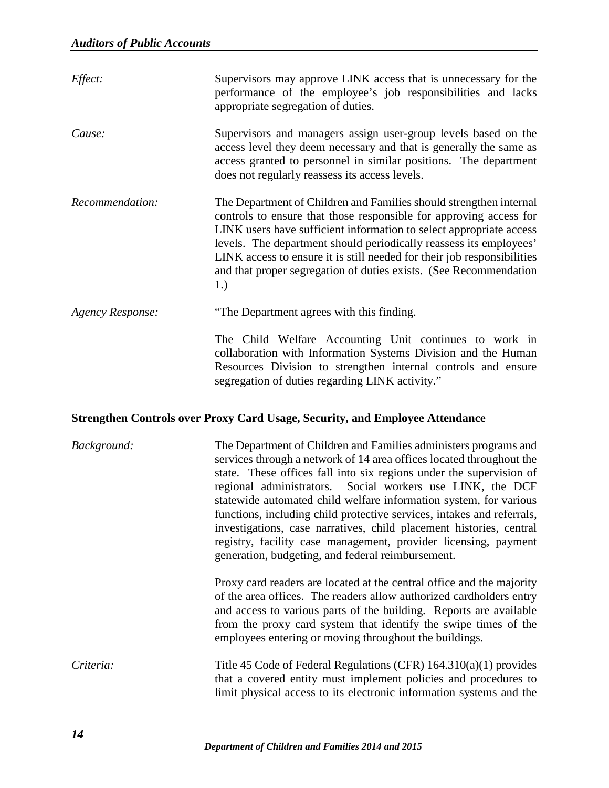| Effect:          | Supervisors may approve LINK access that is unnecessary for the<br>performance of the employee's job responsibilities and lacks<br>appropriate segregation of duties.                                                                                                                                                                                                                                                                        |
|------------------|----------------------------------------------------------------------------------------------------------------------------------------------------------------------------------------------------------------------------------------------------------------------------------------------------------------------------------------------------------------------------------------------------------------------------------------------|
| Cause:           | Supervisors and managers assign user-group levels based on the<br>access level they deem necessary and that is generally the same as<br>access granted to personnel in similar positions. The department<br>does not regularly reassess its access levels.                                                                                                                                                                                   |
| Recommendation:  | The Department of Children and Families should strengthen internal<br>controls to ensure that those responsible for approving access for<br>LINK users have sufficient information to select appropriate access<br>levels. The department should periodically reassess its employees'<br>LINK access to ensure it is still needed for their job responsibilities<br>and that proper segregation of duties exists. (See Recommendation<br>1.) |
| Agency Response: | "The Department agrees with this finding.                                                                                                                                                                                                                                                                                                                                                                                                    |
|                  | The Child Welfare Accounting Unit continues to work in<br>collaboration with Information Systems Division and the Human<br>Resources Division to strengthen internal controls and ensure<br>segregation of duties regarding LINK activity."                                                                                                                                                                                                  |

# <span id="page-16-0"></span>**Strengthen Controls over Proxy Card Usage, Security, and Employee Attendance**

| Background: | The Department of Children and Families administers programs and<br>services through a network of 14 area offices located throughout the<br>state. These offices fall into six regions under the supervision of<br>regional administrators. Social workers use LINK, the DCF<br>statewide automated child welfare information system, for various<br>functions, including child protective services, intakes and referrals,<br>investigations, case narratives, child placement histories, central<br>registry, facility case management, provider licensing, payment<br>generation, budgeting, and federal reimbursement. |
|-------------|----------------------------------------------------------------------------------------------------------------------------------------------------------------------------------------------------------------------------------------------------------------------------------------------------------------------------------------------------------------------------------------------------------------------------------------------------------------------------------------------------------------------------------------------------------------------------------------------------------------------------|
|             | Proxy card readers are located at the central office and the majority<br>of the area offices. The readers allow authorized cardholders entry<br>and access to various parts of the building. Reports are available<br>from the proxy card system that identify the swipe times of the<br>employees entering or moving throughout the buildings.                                                                                                                                                                                                                                                                            |
| Criteria:   | Title 45 Code of Federal Regulations (CFR) $164.310(a)(1)$ provides<br>that a covered entity must implement policies and procedures to<br>limit physical access to its electronic information systems and the                                                                                                                                                                                                                                                                                                                                                                                                              |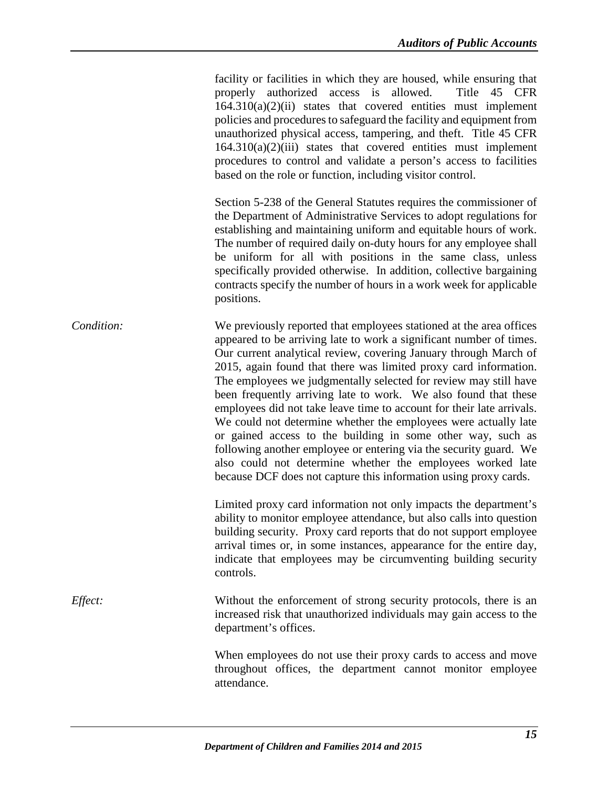facility or facilities in which they are housed, while ensuring that properly authorized access is allowed. Title 45 CFR  $164.310(a)(2)(ii)$  states that covered entities must implement policies and procedures to safeguard the facility and equipment from unauthorized physical access, tampering, and theft. Title 45 CFR  $164.310(a)(2)(iii)$  states that covered entities must implement procedures to control and validate a person's access to facilities based on the role or function, including visitor control.

Section 5-238 of the General Statutes requires the commissioner of the Department of Administrative Services to adopt regulations for establishing and maintaining uniform and equitable hours of work. The number of required daily on-duty hours for any employee shall be uniform for all with positions in the same class, unless specifically provided otherwise. In addition, collective bargaining contracts specify the number of hours in a work week for applicable positions.

*Condition:* We previously reported that employees stationed at the area offices appeared to be arriving late to work a significant number of times. Our current analytical review, covering January through March of 2015, again found that there was limited proxy card information. The employees we judgmentally selected for review may still have been frequently arriving late to work. We also found that these employees did not take leave time to account for their late arrivals. We could not determine whether the employees were actually late or gained access to the building in some other way, such as following another employee or entering via the security guard. We also could not determine whether the employees worked late because DCF does not capture this information using proxy cards.

> Limited proxy card information not only impacts the department's ability to monitor employee attendance, but also calls into question building security. Proxy card reports that do not support employee arrival times or, in some instances, appearance for the entire day, indicate that employees may be circumventing building security controls.

*Effect:* Without the enforcement of strong security protocols, there is an increased risk that unauthorized individuals may gain access to the department's offices.

> When employees do not use their proxy cards to access and move throughout offices, the department cannot monitor employee attendance.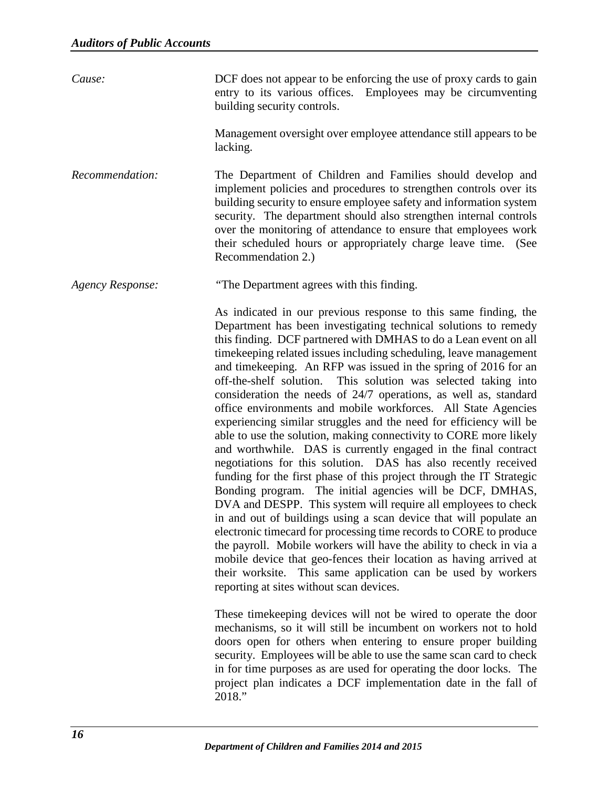| Cause:                  | DCF does not appear to be enforcing the use of proxy cards to gain<br>entry to its various offices. Employees may be circumventing<br>building security controls.                                                                                                                                                                                                                                                                                                                                                                                                                                                                                                                                                                                                                                                                                                                                                                                                                                                                                                                                                                                                                                                                                                                                                                                                                                                                                |
|-------------------------|--------------------------------------------------------------------------------------------------------------------------------------------------------------------------------------------------------------------------------------------------------------------------------------------------------------------------------------------------------------------------------------------------------------------------------------------------------------------------------------------------------------------------------------------------------------------------------------------------------------------------------------------------------------------------------------------------------------------------------------------------------------------------------------------------------------------------------------------------------------------------------------------------------------------------------------------------------------------------------------------------------------------------------------------------------------------------------------------------------------------------------------------------------------------------------------------------------------------------------------------------------------------------------------------------------------------------------------------------------------------------------------------------------------------------------------------------|
|                         | Management oversight over employee attendance still appears to be<br>lacking.                                                                                                                                                                                                                                                                                                                                                                                                                                                                                                                                                                                                                                                                                                                                                                                                                                                                                                                                                                                                                                                                                                                                                                                                                                                                                                                                                                    |
| Recommendation:         | The Department of Children and Families should develop and<br>implement policies and procedures to strengthen controls over its<br>building security to ensure employee safety and information system<br>security. The department should also strengthen internal controls<br>over the monitoring of attendance to ensure that employees work<br>their scheduled hours or appropriately charge leave time. (See<br>Recommendation 2.)                                                                                                                                                                                                                                                                                                                                                                                                                                                                                                                                                                                                                                                                                                                                                                                                                                                                                                                                                                                                            |
| <b>Agency Response:</b> | "The Department agrees with this finding.                                                                                                                                                                                                                                                                                                                                                                                                                                                                                                                                                                                                                                                                                                                                                                                                                                                                                                                                                                                                                                                                                                                                                                                                                                                                                                                                                                                                        |
|                         | As indicated in our previous response to this same finding, the<br>Department has been investigating technical solutions to remedy<br>this finding. DCF partnered with DMHAS to do a Lean event on all<br>time keeping related issues including scheduling, leave management<br>and time keeping. An RFP was issued in the spring of 2016 for an<br>off-the-shelf solution. This solution was selected taking into<br>consideration the needs of 24/7 operations, as well as, standard<br>office environments and mobile workforces. All State Agencies<br>experiencing similar struggles and the need for efficiency will be<br>able to use the solution, making connectivity to CORE more likely<br>and worthwhile. DAS is currently engaged in the final contract<br>negotiations for this solution. DAS has also recently received<br>funding for the first phase of this project through the IT Strategic<br>Bonding program. The initial agencies will be DCF, DMHAS,<br>DVA and DESPP. This system will require all employees to check<br>in and out of buildings using a scan device that will populate an<br>electronic timecard for processing time records to CORE to produce<br>the payroll. Mobile workers will have the ability to check in via a<br>mobile device that geo-fences their location as having arrived at<br>their worksite. This same application can be used by workers<br>reporting at sites without scan devices. |
|                         | These time keeping devices will not be wired to operate the door<br>mechanisms, so it will still be incumbent on workers not to hold<br>doors open for others when entering to ensure proper building<br>security. Employees will be able to use the same scan card to check<br>in for time purposes as are used for operating the door locks. The<br>project plan indicates a DCF implementation date in the fall of<br>2018."                                                                                                                                                                                                                                                                                                                                                                                                                                                                                                                                                                                                                                                                                                                                                                                                                                                                                                                                                                                                                  |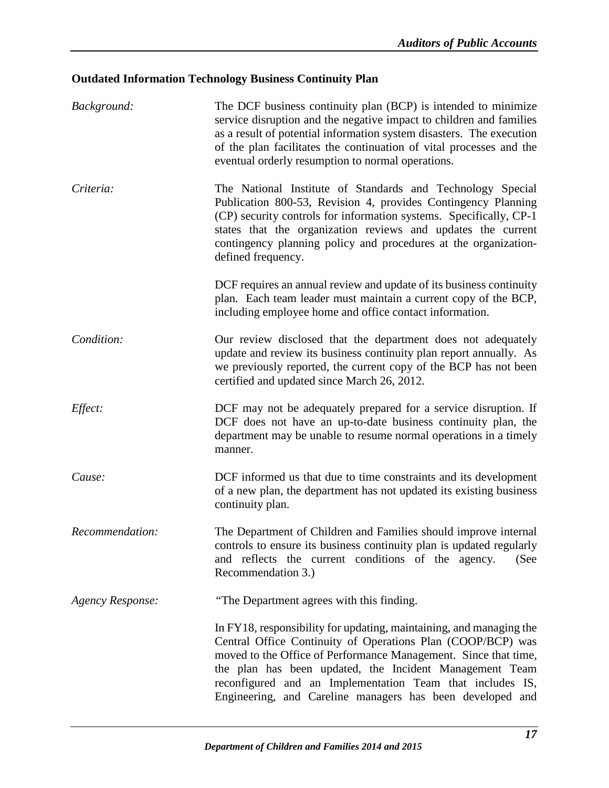# <span id="page-19-0"></span>**Outdated Information Technology Business Continuity Plan**

| Background:      | The DCF business continuity plan (BCP) is intended to minimize<br>service disruption and the negative impact to children and families<br>as a result of potential information system disasters. The execution<br>of the plan facilitates the continuation of vital processes and the<br>eventual orderly resumption to normal operations.                                                  |
|------------------|--------------------------------------------------------------------------------------------------------------------------------------------------------------------------------------------------------------------------------------------------------------------------------------------------------------------------------------------------------------------------------------------|
| Criteria:        | The National Institute of Standards and Technology Special<br>Publication 800-53, Revision 4, provides Contingency Planning<br>(CP) security controls for information systems. Specifically, CP-1<br>states that the organization reviews and updates the current<br>contingency planning policy and procedures at the organization-<br>defined frequency.                                 |
|                  | DCF requires an annual review and update of its business continuity<br>plan. Each team leader must maintain a current copy of the BCP,<br>including employee home and office contact information.                                                                                                                                                                                          |
| Condition:       | Our review disclosed that the department does not adequately<br>update and review its business continuity plan report annually. As<br>we previously reported, the current copy of the BCP has not been<br>certified and updated since March 26, 2012.                                                                                                                                      |
| Effect:          | DCF may not be adequately prepared for a service disruption. If<br>DCF does not have an up-to-date business continuity plan, the<br>department may be unable to resume normal operations in a timely<br>manner.                                                                                                                                                                            |
| Cause:           | DCF informed us that due to time constraints and its development<br>of a new plan, the department has not updated its existing business<br>continuity plan.                                                                                                                                                                                                                                |
| Recommendation:  | The Department of Children and Families should improve internal<br>controls to ensure its business continuity plan is updated regularly<br>and reflects the current conditions of the agency. (See<br>Recommendation 3.)                                                                                                                                                                   |
| Agency Response: | "The Department agrees with this finding.                                                                                                                                                                                                                                                                                                                                                  |
|                  | In FY18, responsibility for updating, maintaining, and managing the<br>Central Office Continuity of Operations Plan (COOP/BCP) was<br>moved to the Office of Performance Management. Since that time,<br>the plan has been updated, the Incident Management Team<br>reconfigured and an Implementation Team that includes IS,<br>Engineering, and Careline managers has been developed and |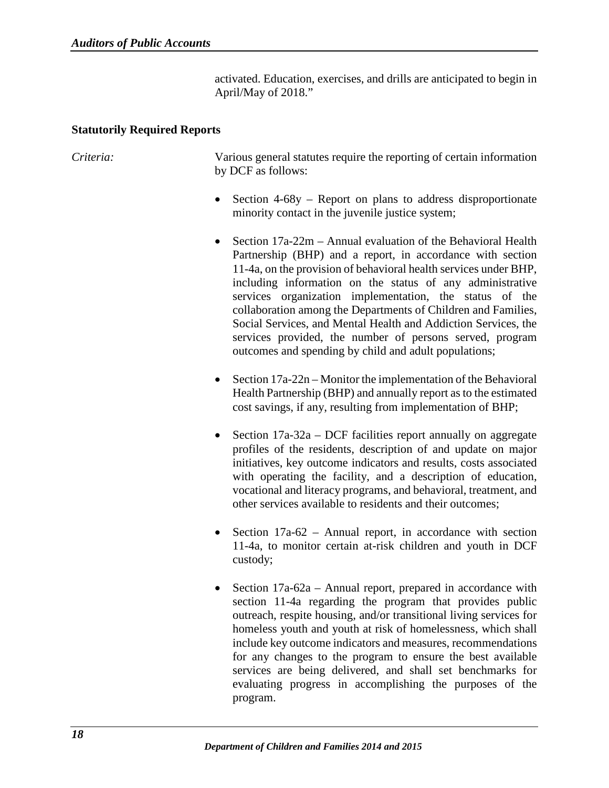activated. Education, exercises, and drills are anticipated to begin in April/May of 2018."

### <span id="page-20-0"></span>**Statutorily Required Reports**

*Criteria:* Various general statutes require the reporting of certain information by DCF as follows:

- Section 4-68y Report on plans to address disproportionate minority contact in the juvenile justice system;
- Section 17a-22m Annual evaluation of the Behavioral Health Partnership (BHP) and a report, in accordance with section 11-4a, on the provision of behavioral health services under BHP, including information on the status of any administrative services organization implementation, the status of the collaboration among the Departments of Children and Families, Social Services, and Mental Health and Addiction Services, the services provided, the number of persons served, program outcomes and spending by child and adult populations;
- Section 17a-22n Monitor the implementation of the Behavioral Health Partnership (BHP) and annually report as to the estimated cost savings, if any, resulting from implementation of BHP;
- Section 17a-32a DCF facilities report annually on aggregate profiles of the residents, description of and update on major initiatives, key outcome indicators and results, costs associated with operating the facility, and a description of education, vocational and literacy programs, and behavioral, treatment, and other services available to residents and their outcomes;
- Section 17a-62 Annual report, in accordance with section 11-4a, to monitor certain at-risk children and youth in DCF custody;
- Section 17a-62a Annual report, prepared in accordance with section 11-4a regarding the program that provides public outreach, respite housing, and/or transitional living services for homeless youth and youth at risk of homelessness, which shall include key outcome indicators and measures, recommendations for any changes to the program to ensure the best available services are being delivered, and shall set benchmarks for evaluating progress in accomplishing the purposes of the program.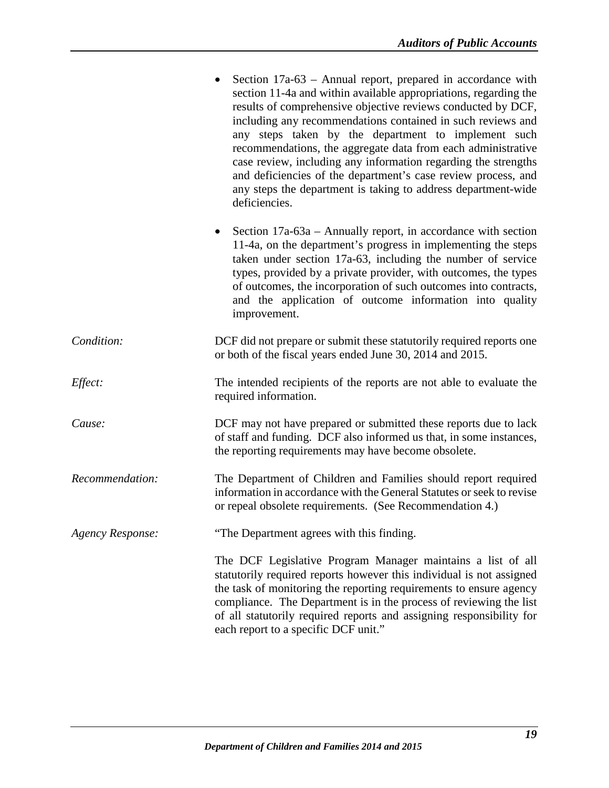<span id="page-21-0"></span>

|                         | Section 17a-63 – Annual report, prepared in accordance with<br>section 11-4a and within available appropriations, regarding the<br>results of comprehensive objective reviews conducted by DCF,<br>including any recommendations contained in such reviews and<br>any steps taken by the department to implement such<br>recommendations, the aggregate data from each administrative<br>case review, including any information regarding the strengths<br>and deficiencies of the department's case review process, and<br>any steps the department is taking to address department-wide<br>deficiencies. |
|-------------------------|------------------------------------------------------------------------------------------------------------------------------------------------------------------------------------------------------------------------------------------------------------------------------------------------------------------------------------------------------------------------------------------------------------------------------------------------------------------------------------------------------------------------------------------------------------------------------------------------------------|
|                         | Section 17a-63a – Annually report, in accordance with section<br>$\bullet$<br>11-4a, on the department's progress in implementing the steps<br>taken under section 17a-63, including the number of service<br>types, provided by a private provider, with outcomes, the types<br>of outcomes, the incorporation of such outcomes into contracts,<br>and the application of outcome information into quality<br>improvement.                                                                                                                                                                                |
| Condition:              | DCF did not prepare or submit these statutorily required reports one<br>or both of the fiscal years ended June 30, 2014 and 2015.                                                                                                                                                                                                                                                                                                                                                                                                                                                                          |
| Effect:                 | The intended recipients of the reports are not able to evaluate the<br>required information.                                                                                                                                                                                                                                                                                                                                                                                                                                                                                                               |
| Cause:                  | DCF may not have prepared or submitted these reports due to lack<br>of staff and funding. DCF also informed us that, in some instances,<br>the reporting requirements may have become obsolete.                                                                                                                                                                                                                                                                                                                                                                                                            |
| Recommendation:         | The Department of Children and Families should report required<br>information in accordance with the General Statutes or seek to revise<br>or repeal obsolete requirements. (See Recommendation 4.)                                                                                                                                                                                                                                                                                                                                                                                                        |
| <b>Agency Response:</b> | "The Department agrees with this finding.                                                                                                                                                                                                                                                                                                                                                                                                                                                                                                                                                                  |
|                         | The DCF Legislative Program Manager maintains a list of all<br>statutorily required reports however this individual is not assigned<br>the task of monitoring the reporting requirements to ensure agency<br>compliance. The Department is in the process of reviewing the list<br>of all statutorily required reports and assigning responsibility for<br>each report to a specific DCF unit."                                                                                                                                                                                                            |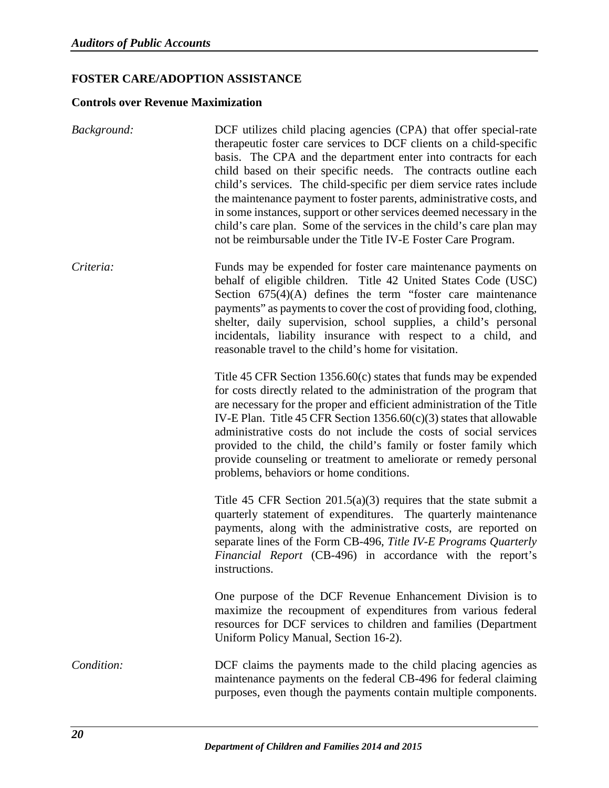# **FOSTER CARE/ADOPTION ASSISTANCE**

### <span id="page-22-0"></span>**Controls over Revenue Maximization**

| Background: | DCF utilizes child placing agencies (CPA) that offer special-rate<br>therapeutic foster care services to DCF clients on a child-specific<br>basis. The CPA and the department enter into contracts for each<br>child based on their specific needs. The contracts outline each<br>child's services. The child-specific per diem service rates include<br>the maintenance payment to foster parents, administrative costs, and<br>in some instances, support or other services deemed necessary in the<br>child's care plan. Some of the services in the child's care plan may<br>not be reimbursable under the Title IV-E Foster Care Program. |
|-------------|------------------------------------------------------------------------------------------------------------------------------------------------------------------------------------------------------------------------------------------------------------------------------------------------------------------------------------------------------------------------------------------------------------------------------------------------------------------------------------------------------------------------------------------------------------------------------------------------------------------------------------------------|
| Criteria:   | Funds may be expended for foster care maintenance payments on<br>behalf of eligible children. Title 42 United States Code (USC)<br>Section $675(4)(A)$ defines the term "foster care maintenance"<br>payments" as payments to cover the cost of providing food, clothing,<br>shelter, daily supervision, school supplies, a child's personal<br>incidentals, liability insurance with respect to a child, and<br>reasonable travel to the child's home for visitation.                                                                                                                                                                         |
|             | Title 45 CFR Section $1356.60(c)$ states that funds may be expended<br>for costs directly related to the administration of the program that<br>are necessary for the proper and efficient administration of the Title<br>IV-E Plan. Title 45 CFR Section $1356.60(c)(3)$ states that allowable<br>administrative costs do not include the costs of social services<br>provided to the child, the child's family or foster family which<br>provide counseling or treatment to ameliorate or remedy personal<br>problems, behaviors or home conditions.                                                                                          |
|             | Title 45 CFR Section $201.5(a)(3)$ requires that the state submit a<br>quarterly statement of expenditures. The quarterly maintenance<br>payments, along with the administrative costs, are reported on<br>separate lines of the Form CB-496, Title IV-E Programs Quarterly<br>Financial Report (CB-496) in accordance with the report's<br>instructions.                                                                                                                                                                                                                                                                                      |
|             | One purpose of the DCF Revenue Enhancement Division is to<br>maximize the recoupment of expenditures from various federal<br>resources for DCF services to children and families (Department<br>Uniform Policy Manual, Section 16-2).                                                                                                                                                                                                                                                                                                                                                                                                          |
| Condition:  | DCF claims the payments made to the child placing agencies as<br>maintenance payments on the federal CB-496 for federal claiming<br>purposes, even though the payments contain multiple components.                                                                                                                                                                                                                                                                                                                                                                                                                                            |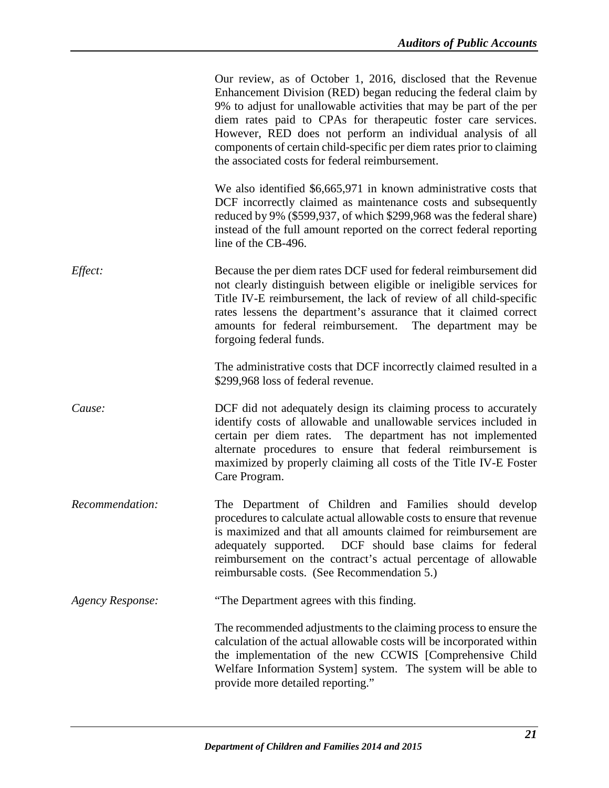|                         | Our review, as of October 1, 2016, disclosed that the Revenue<br>Enhancement Division (RED) began reducing the federal claim by<br>9% to adjust for unallowable activities that may be part of the per<br>diem rates paid to CPAs for therapeutic foster care services.<br>However, RED does not perform an individual analysis of all<br>components of certain child-specific per diem rates prior to claiming<br>the associated costs for federal reimbursement. |
|-------------------------|--------------------------------------------------------------------------------------------------------------------------------------------------------------------------------------------------------------------------------------------------------------------------------------------------------------------------------------------------------------------------------------------------------------------------------------------------------------------|
|                         | We also identified \$6,665,971 in known administrative costs that<br>DCF incorrectly claimed as maintenance costs and subsequently<br>reduced by 9% (\$599,937, of which \$299,968 was the federal share)<br>instead of the full amount reported on the correct federal reporting<br>line of the CB-496.                                                                                                                                                           |
| Effect:                 | Because the per diem rates DCF used for federal reimbursement did<br>not clearly distinguish between eligible or ineligible services for<br>Title IV-E reimbursement, the lack of review of all child-specific<br>rates lessens the department's assurance that it claimed correct<br>amounts for federal reimbursement. The department may be<br>forgoing federal funds.                                                                                          |
|                         | The administrative costs that DCF incorrectly claimed resulted in a<br>\$299,968 loss of federal revenue.                                                                                                                                                                                                                                                                                                                                                          |
| Cause:                  | DCF did not adequately design its claiming process to accurately<br>identify costs of allowable and unallowable services included in<br>certain per diem rates. The department has not implemented<br>alternate procedures to ensure that federal reimbursement is<br>maximized by properly claiming all costs of the Title IV-E Foster<br>Care Program.                                                                                                           |
| Recommendation:         | The Department of Children and Families should develop<br>procedures to calculate actual allowable costs to ensure that revenue<br>is maximized and that all amounts claimed for reimbursement are<br>DCF should base claims for federal<br>adequately supported.<br>reimbursement on the contract's actual percentage of allowable<br>reimbursable costs. (See Recommendation 5.)                                                                                 |
| <b>Agency Response:</b> | "The Department agrees with this finding.                                                                                                                                                                                                                                                                                                                                                                                                                          |
|                         | The recommended adjustments to the claiming process to ensure the<br>calculation of the actual allowable costs will be incorporated within<br>the implementation of the new CCWIS [Comprehensive Child<br>Welfare Information System] system. The system will be able to<br>provide more detailed reporting."                                                                                                                                                      |
|                         |                                                                                                                                                                                                                                                                                                                                                                                                                                                                    |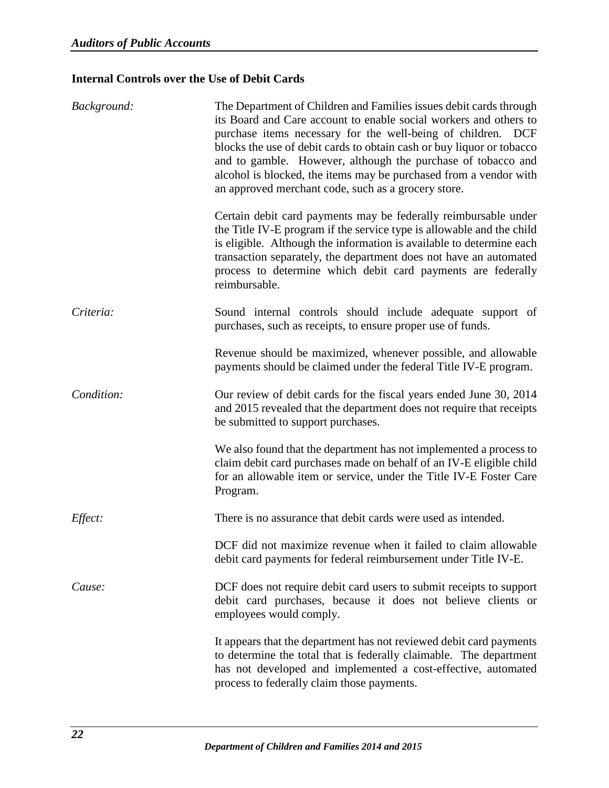# <span id="page-24-0"></span>**Internal Controls over the Use of Debit Cards**

| Background: | The Department of Children and Families issues debit cards through<br>its Board and Care account to enable social workers and others to<br>purchase items necessary for the well-being of children. DCF<br>blocks the use of debit cards to obtain cash or buy liquor or tobacco<br>and to gamble. However, although the purchase of tobacco and<br>alcohol is blocked, the items may be purchased from a vendor with<br>an approved merchant code, such as a grocery store. |
|-------------|------------------------------------------------------------------------------------------------------------------------------------------------------------------------------------------------------------------------------------------------------------------------------------------------------------------------------------------------------------------------------------------------------------------------------------------------------------------------------|
|             | Certain debit card payments may be federally reimbursable under<br>the Title IV-E program if the service type is allowable and the child<br>is eligible. Although the information is available to determine each<br>transaction separately, the department does not have an automated<br>process to determine which debit card payments are federally<br>reimbursable.                                                                                                       |
| Criteria:   | Sound internal controls should include adequate support of<br>purchases, such as receipts, to ensure proper use of funds.                                                                                                                                                                                                                                                                                                                                                    |
|             | Revenue should be maximized, whenever possible, and allowable<br>payments should be claimed under the federal Title IV-E program.                                                                                                                                                                                                                                                                                                                                            |
| Condition:  | Our review of debit cards for the fiscal years ended June 30, 2014<br>and 2015 revealed that the department does not require that receipts<br>be submitted to support purchases.                                                                                                                                                                                                                                                                                             |
|             | We also found that the department has not implemented a process to<br>claim debit card purchases made on behalf of an IV-E eligible child<br>for an allowable item or service, under the Title IV-E Foster Care<br>Program.                                                                                                                                                                                                                                                  |
| Effect:     | There is no assurance that debit cards were used as intended.                                                                                                                                                                                                                                                                                                                                                                                                                |
|             | DCF did not maximize revenue when it failed to claim allowable<br>debit card payments for federal reimbursement under Title IV-E.                                                                                                                                                                                                                                                                                                                                            |
| Cause:      | DCF does not require debit card users to submit receipts to support<br>debit card purchases, because it does not believe clients or<br>employees would comply.                                                                                                                                                                                                                                                                                                               |
|             | It appears that the department has not reviewed debit card payments<br>to determine the total that is federally claimable. The department<br>has not developed and implemented a cost-effective, automated<br>process to federally claim those payments.                                                                                                                                                                                                                     |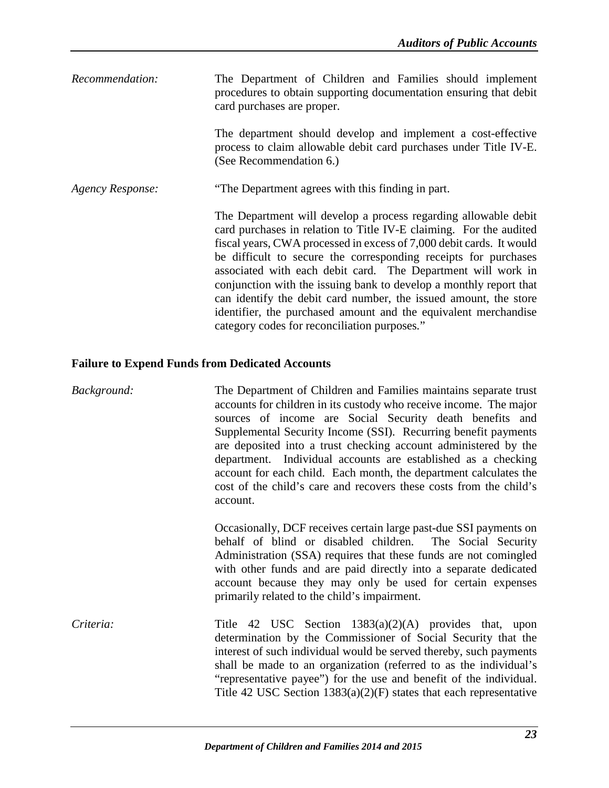| Recommendation:  | The Department of Children and Families should implement<br>procedures to obtain supporting documentation ensuring that debit<br>card purchases are proper.                                                                                                                                                                                                                                                                                                                                                                                                                                                   |
|------------------|---------------------------------------------------------------------------------------------------------------------------------------------------------------------------------------------------------------------------------------------------------------------------------------------------------------------------------------------------------------------------------------------------------------------------------------------------------------------------------------------------------------------------------------------------------------------------------------------------------------|
|                  | The department should develop and implement a cost-effective<br>process to claim allowable debit card purchases under Title IV-E.<br>(See Recommendation 6.)                                                                                                                                                                                                                                                                                                                                                                                                                                                  |
| Agency Response: | "The Department agrees with this finding in part.                                                                                                                                                                                                                                                                                                                                                                                                                                                                                                                                                             |
|                  | The Department will develop a process regarding allowable debit<br>card purchases in relation to Title IV-E claiming. For the audited<br>fiscal years, CWA processed in excess of 7,000 debit cards. It would<br>be difficult to secure the corresponding receipts for purchases<br>associated with each debit card. The Department will work in<br>conjunction with the issuing bank to develop a monthly report that<br>can identify the debit card number, the issued amount, the store<br>identifier, the purchased amount and the equivalent merchandise<br>category codes for reconciliation purposes." |

# <span id="page-25-0"></span>**Failure to Expend Funds from Dedicated Accounts**

| Background: | The Department of Children and Families maintains separate trust<br>accounts for children in its custody who receive income. The major<br>sources of income are Social Security death benefits and<br>Supplemental Security Income (SSI). Recurring benefit payments<br>are deposited into a trust checking account administered by the<br>department. Individual accounts are established as a checking<br>account for each child. Each month, the department calculates the<br>cost of the child's care and recovers these costs from the child's<br>account. |
|-------------|-----------------------------------------------------------------------------------------------------------------------------------------------------------------------------------------------------------------------------------------------------------------------------------------------------------------------------------------------------------------------------------------------------------------------------------------------------------------------------------------------------------------------------------------------------------------|
|             | Occasionally, DCF receives certain large past-due SSI payments on<br>behalf of blind or disabled children. The Social Security<br>Administration (SSA) requires that these funds are not comingled<br>with other funds and are paid directly into a separate dedicated<br>account because they may only be used for certain expenses<br>primarily related to the child's impairment.                                                                                                                                                                            |
| Criteria:   | Title 42 USC Section $1383(a)(2)(A)$ provides that, upon<br>determination by the Commissioner of Social Security that the<br>interest of such individual would be served thereby, such payments<br>shall be made to an organization (referred to as the individual's<br>"representative payee") for the use and benefit of the individual.<br>Title 42 USC Section $1383(a)(2)(F)$ states that each representative                                                                                                                                              |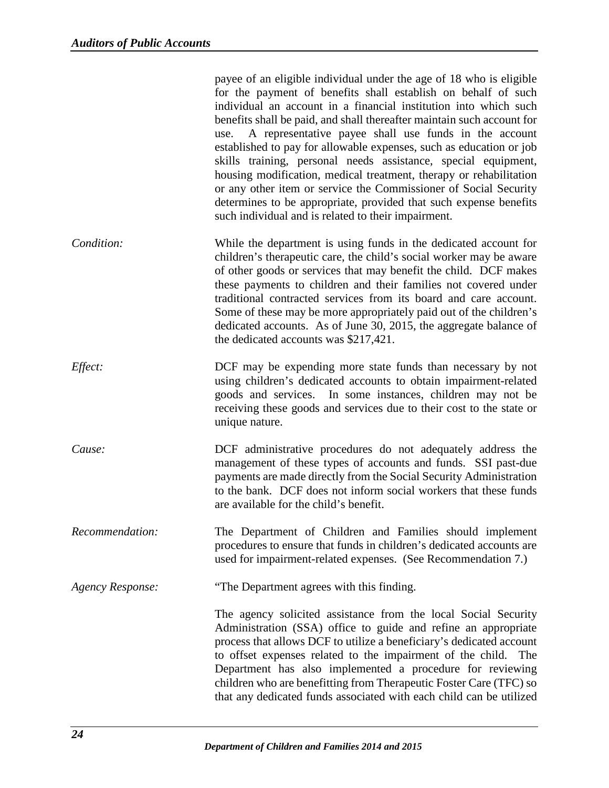|                         | payee of an eligible individual under the age of 18 who is eligible<br>for the payment of benefits shall establish on behalf of such<br>individual an account in a financial institution into which such<br>benefits shall be paid, and shall thereafter maintain such account for<br>A representative payee shall use funds in the account<br>use.<br>established to pay for allowable expenses, such as education or job<br>skills training, personal needs assistance, special equipment,<br>housing modification, medical treatment, therapy or rehabilitation<br>or any other item or service the Commissioner of Social Security<br>determines to be appropriate, provided that such expense benefits<br>such individual and is related to their impairment. |
|-------------------------|--------------------------------------------------------------------------------------------------------------------------------------------------------------------------------------------------------------------------------------------------------------------------------------------------------------------------------------------------------------------------------------------------------------------------------------------------------------------------------------------------------------------------------------------------------------------------------------------------------------------------------------------------------------------------------------------------------------------------------------------------------------------|
| Condition:              | While the department is using funds in the dedicated account for<br>children's therapeutic care, the child's social worker may be aware<br>of other goods or services that may benefit the child. DCF makes<br>these payments to children and their families not covered under<br>traditional contracted services from its board and care account.<br>Some of these may be more appropriately paid out of the children's<br>dedicated accounts. As of June 30, 2015, the aggregate balance of<br>the dedicated accounts was \$217,421.                                                                                                                                                                                                                             |
| <i>Effect:</i>          | DCF may be expending more state funds than necessary by not<br>using children's dedicated accounts to obtain impairment-related<br>goods and services. In some instances, children may not be<br>receiving these goods and services due to their cost to the state or<br>unique nature.                                                                                                                                                                                                                                                                                                                                                                                                                                                                            |
| Cause:                  | DCF administrative procedures do not adequately address the<br>management of these types of accounts and funds. SSI past-due<br>payments are made directly from the Social Security Administration<br>to the bank. DCF does not inform social workers that these funds<br>are available for the child's benefit.                                                                                                                                                                                                                                                                                                                                                                                                                                                   |
| Recommendation:         | The Department of Children and Families should implement<br>procedures to ensure that funds in children's dedicated accounts are<br>used for impairment-related expenses. (See Recommendation 7.)                                                                                                                                                                                                                                                                                                                                                                                                                                                                                                                                                                  |
| <b>Agency Response:</b> | "The Department agrees with this finding.                                                                                                                                                                                                                                                                                                                                                                                                                                                                                                                                                                                                                                                                                                                          |
|                         | The agency solicited assistance from the local Social Security<br>Administration (SSA) office to guide and refine an appropriate<br>process that allows DCF to utilize a beneficiary's dedicated account<br>to offset expenses related to the impairment of the child. The<br>Department has also implemented a procedure for reviewing<br>children who are benefitting from Therapeutic Foster Care (TFC) so<br>that any dedicated funds associated with each child can be utilized                                                                                                                                                                                                                                                                               |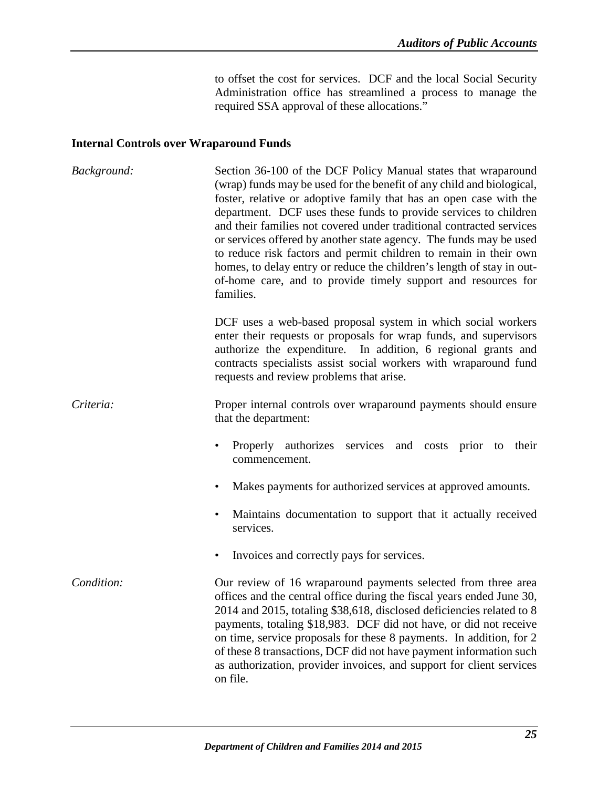to offset the cost for services. DCF and the local Social Security Administration office has streamlined a process to manage the required SSA approval of these allocations."

### <span id="page-27-0"></span>**Internal Controls over Wraparound Funds**

| Background: | Section 36-100 of the DCF Policy Manual states that wraparound<br>(wrap) funds may be used for the benefit of any child and biological,<br>foster, relative or adoptive family that has an open case with the<br>department. DCF uses these funds to provide services to children<br>and their families not covered under traditional contracted services<br>or services offered by another state agency. The funds may be used<br>to reduce risk factors and permit children to remain in their own<br>homes, to delay entry or reduce the children's length of stay in out-<br>of-home care, and to provide timely support and resources for<br>families. |
|-------------|-------------------------------------------------------------------------------------------------------------------------------------------------------------------------------------------------------------------------------------------------------------------------------------------------------------------------------------------------------------------------------------------------------------------------------------------------------------------------------------------------------------------------------------------------------------------------------------------------------------------------------------------------------------|
|             | DCF uses a web-based proposal system in which social workers<br>enter their requests or proposals for wrap funds, and supervisors<br>authorize the expenditure. In addition, 6 regional grants and<br>contracts specialists assist social workers with wraparound fund<br>requests and review problems that arise.                                                                                                                                                                                                                                                                                                                                          |
| Criteria:   | Proper internal controls over wraparound payments should ensure<br>that the department:                                                                                                                                                                                                                                                                                                                                                                                                                                                                                                                                                                     |
|             | Properly authorizes services and costs prior to their<br>commencement.                                                                                                                                                                                                                                                                                                                                                                                                                                                                                                                                                                                      |
|             | Makes payments for authorized services at approved amounts.<br>$\bullet$                                                                                                                                                                                                                                                                                                                                                                                                                                                                                                                                                                                    |
|             | Maintains documentation to support that it actually received<br>$\bullet$<br>services.                                                                                                                                                                                                                                                                                                                                                                                                                                                                                                                                                                      |
|             | Invoices and correctly pays for services.<br>$\bullet$                                                                                                                                                                                                                                                                                                                                                                                                                                                                                                                                                                                                      |
| Condition:  | Our review of 16 wraparound payments selected from three area<br>offices and the central office during the fiscal years ended June 30,<br>2014 and 2015, totaling \$38,618, disclosed deficiencies related to 8<br>payments, totaling \$18,983. DCF did not have, or did not receive<br>on time, service proposals for these 8 payments. In addition, for 2<br>of these 8 transactions, DCF did not have payment information such<br>as authorization, provider invoices, and support for client services<br>on file.                                                                                                                                       |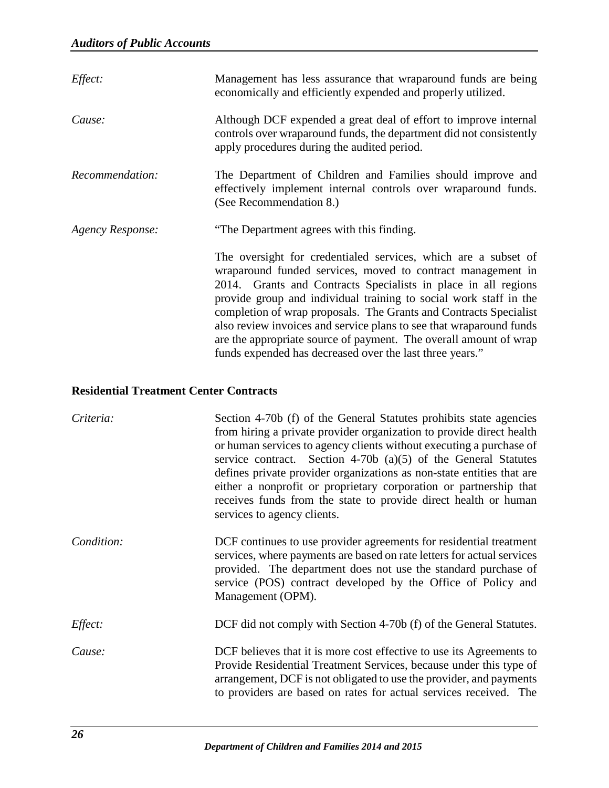| Effect:          | Management has less assurance that wraparound funds are being<br>economically and efficiently expended and properly utilized.                                                                                                                                                                                                                                                                                                                                                                                                                     |
|------------------|---------------------------------------------------------------------------------------------------------------------------------------------------------------------------------------------------------------------------------------------------------------------------------------------------------------------------------------------------------------------------------------------------------------------------------------------------------------------------------------------------------------------------------------------------|
| Cause:           | Although DCF expended a great deal of effort to improve internal<br>controls over wraparound funds, the department did not consistently<br>apply procedures during the audited period.                                                                                                                                                                                                                                                                                                                                                            |
| Recommendation:  | The Department of Children and Families should improve and<br>effectively implement internal controls over wraparound funds.<br>(See Recommendation 8.)                                                                                                                                                                                                                                                                                                                                                                                           |
| Agency Response: | "The Department agrees with this finding.                                                                                                                                                                                                                                                                                                                                                                                                                                                                                                         |
|                  | The oversight for credentialed services, which are a subset of<br>wraparound funded services, moved to contract management in<br>2014. Grants and Contracts Specialists in place in all regions<br>provide group and individual training to social work staff in the<br>completion of wrap proposals. The Grants and Contracts Specialist<br>also review invoices and service plans to see that wraparound funds<br>are the appropriate source of payment. The overall amount of wrap<br>funds expended has decreased over the last three years." |

# <span id="page-28-0"></span>**Residential Treatment Center Contracts**

| Criteria:  | Section 4-70b (f) of the General Statutes prohibits state agencies<br>from hiring a private provider organization to provide direct health<br>or human services to agency clients without executing a purchase of<br>service contract. Section 4-70b (a) $(5)$ of the General Statutes<br>defines private provider organizations as non-state entities that are<br>either a nonprofit or proprietary corporation or partnership that<br>receives funds from the state to provide direct health or human<br>services to agency clients. |
|------------|----------------------------------------------------------------------------------------------------------------------------------------------------------------------------------------------------------------------------------------------------------------------------------------------------------------------------------------------------------------------------------------------------------------------------------------------------------------------------------------------------------------------------------------|
| Condition: | DCF continues to use provider agreements for residential treatment<br>services, where payments are based on rate letters for actual services<br>provided. The department does not use the standard purchase of<br>service (POS) contract developed by the Office of Policy and<br>Management (OPM).                                                                                                                                                                                                                                    |
| Effect:    | DCF did not comply with Section 4-70b (f) of the General Statutes.                                                                                                                                                                                                                                                                                                                                                                                                                                                                     |
| Cause:     | DCF believes that it is more cost effective to use its Agreements to<br>Provide Residential Treatment Services, because under this type of<br>arrangement, DCF is not obligated to use the provider, and payments<br>to providers are based on rates for actual services received. The                                                                                                                                                                                                                                                 |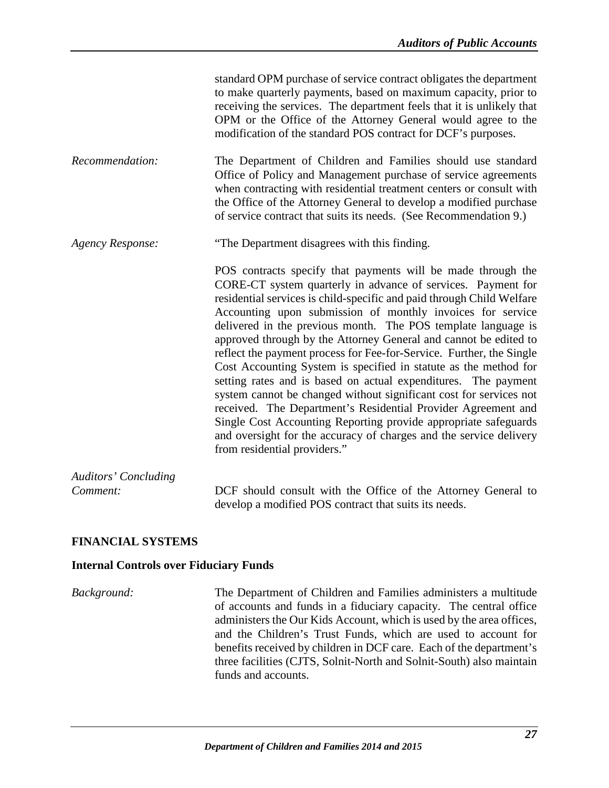|                                         | standard OPM purchase of service contract obligates the department<br>to make quarterly payments, based on maximum capacity, prior to<br>receiving the services. The department feels that it is unlikely that<br>OPM or the Office of the Attorney General would agree to the<br>modification of the standard POS contract for DCF's purposes.                                                                                                                                                                                                                                                                                                                                                                                                                                                                                                                                                                                        |
|-----------------------------------------|----------------------------------------------------------------------------------------------------------------------------------------------------------------------------------------------------------------------------------------------------------------------------------------------------------------------------------------------------------------------------------------------------------------------------------------------------------------------------------------------------------------------------------------------------------------------------------------------------------------------------------------------------------------------------------------------------------------------------------------------------------------------------------------------------------------------------------------------------------------------------------------------------------------------------------------|
| Recommendation:                         | The Department of Children and Families should use standard<br>Office of Policy and Management purchase of service agreements<br>when contracting with residential treatment centers or consult with<br>the Office of the Attorney General to develop a modified purchase<br>of service contract that suits its needs. (See Recommendation 9.)                                                                                                                                                                                                                                                                                                                                                                                                                                                                                                                                                                                         |
| <b>Agency Response:</b>                 | "The Department disagrees with this finding.                                                                                                                                                                                                                                                                                                                                                                                                                                                                                                                                                                                                                                                                                                                                                                                                                                                                                           |
|                                         | POS contracts specify that payments will be made through the<br>CORE-CT system quarterly in advance of services. Payment for<br>residential services is child-specific and paid through Child Welfare<br>Accounting upon submission of monthly invoices for service<br>delivered in the previous month. The POS template language is<br>approved through by the Attorney General and cannot be edited to<br>reflect the payment process for Fee-for-Service. Further, the Single<br>Cost Accounting System is specified in statute as the method for<br>setting rates and is based on actual expenditures. The payment<br>system cannot be changed without significant cost for services not<br>received. The Department's Residential Provider Agreement and<br>Single Cost Accounting Reporting provide appropriate safeguards<br>and oversight for the accuracy of charges and the service delivery<br>from residential providers." |
| <b>Auditors' Concluding</b><br>Comment: | DCF should consult with the Office of the Attorney General to                                                                                                                                                                                                                                                                                                                                                                                                                                                                                                                                                                                                                                                                                                                                                                                                                                                                          |
|                                         |                                                                                                                                                                                                                                                                                                                                                                                                                                                                                                                                                                                                                                                                                                                                                                                                                                                                                                                                        |

### <span id="page-29-0"></span>**FINANCIAL SYSTEMS**

#### <span id="page-29-1"></span>**Internal Controls over Fiduciary Funds**

*Background:* The Department of Children and Families administers a multitude of accounts and funds in a fiduciary capacity. The central office administers the Our Kids Account, which is used by the area offices, and the Children's Trust Funds, which are used to account for benefits received by children in DCF care. Each of the department's three facilities (CJTS, Solnit-North and Solnit-South) also maintain funds and accounts.

develop a modified POS contract that suits its needs.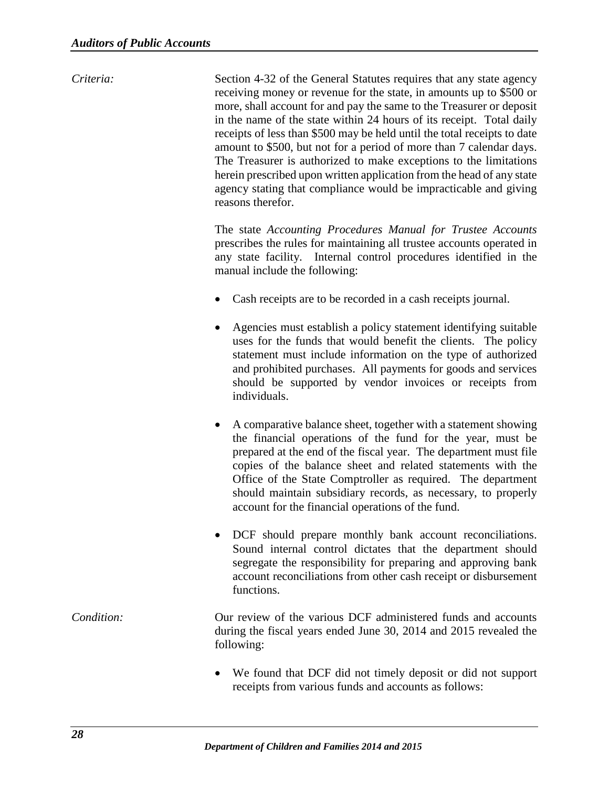*Criteria:* Section 4-32 of the General Statutes requires that any state agency receiving money or revenue for the state, in amounts up to \$500 or more, shall account for and pay the same to the Treasurer or deposit in the name of the state within 24 hours of its receipt. Total daily receipts of less than \$500 may be held until the total receipts to date amount to \$500, but not for a period of more than 7 calendar days. The Treasurer is authorized to make exceptions to the limitations herein prescribed upon written application from the head of any state agency stating that compliance would be impracticable and giving reasons therefor. The state *Accounting Procedures Manual for Trustee Accounts*  prescribes the rules for maintaining all trustee accounts operated in any state facility. Internal control procedures identified in the manual include the following: Cash receipts are to be recorded in a cash receipts journal. • Agencies must establish a policy statement identifying suitable uses for the funds that would benefit the clients. The policy statement must include information on the type of authorized and prohibited purchases. All payments for goods and services should be supported by vendor invoices or receipts from individuals. • A comparative balance sheet, together with a statement showing the financial operations of the fund for the year, must be prepared at the end of the fiscal year. The department must file copies of the balance sheet and related statements with the Office of the State Comptroller as required. The department should maintain subsidiary records, as necessary, to properly account for the financial operations of the fund. • DCF should prepare monthly bank account reconciliations. Sound internal control dictates that the department should segregate the responsibility for preparing and approving bank account reconciliations from other cash receipt or disbursement functions. *Condition:* Our review of the various DCF administered funds and accounts during the fiscal years ended June 30, 2014 and 2015 revealed the following:

• We found that DCF did not timely deposit or did not support receipts from various funds and accounts as follows: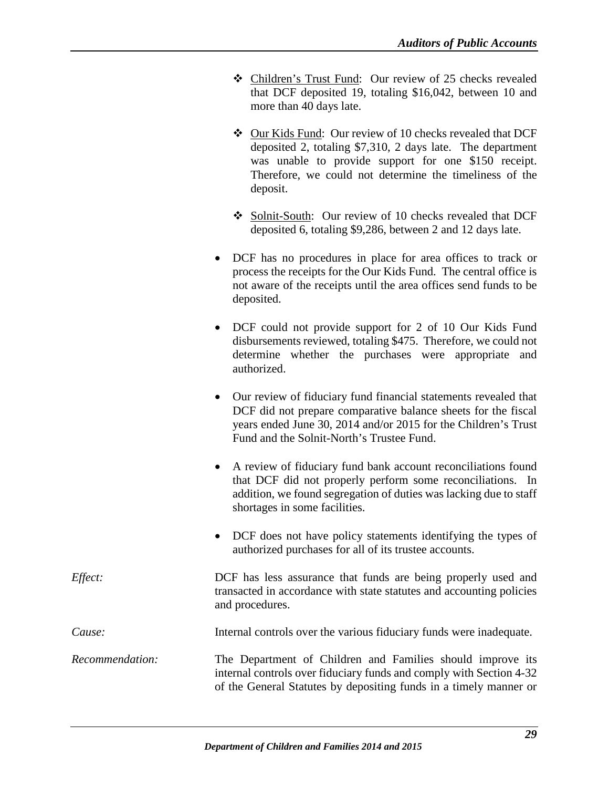- Children's Trust Fund: Our review of 25 checks revealed that DCF deposited 19, totaling \$16,042, between 10 and more than 40 days late.
- Our Kids Fund: Our review of 10 checks revealed that DCF deposited 2, totaling \$7,310, 2 days late. The department was unable to provide support for one \$150 receipt. Therefore, we could not determine the timeliness of the deposit.
- ◆ Solnit-South: Our review of 10 checks revealed that DCF deposited 6, totaling \$9,286, between 2 and 12 days late.
- DCF has no procedures in place for area offices to track or process the receipts for the Our Kids Fund. The central office is not aware of the receipts until the area offices send funds to be deposited.
- DCF could not provide support for 2 of 10 Our Kids Fund disbursements reviewed, totaling \$475. Therefore, we could not determine whether the purchases were appropriate and authorized.
- Our review of fiduciary fund financial statements revealed that DCF did not prepare comparative balance sheets for the fiscal years ended June 30, 2014 and/or 2015 for the Children's Trust Fund and the Solnit-North's Trustee Fund.
- A review of fiduciary fund bank account reconciliations found that DCF did not properly perform some reconciliations. In addition, we found segregation of duties was lacking due to staff shortages in some facilities.
- DCF does not have policy statements identifying the types of authorized purchases for all of its trustee accounts.
- *Effect:* DCF has less assurance that funds are being properly used and transacted in accordance with state statutes and accounting policies and procedures.

*Cause:* Internal controls over the various fiduciary funds were inadequate.

*Recommendation:* The Department of Children and Families should improve its internal controls over fiduciary funds and comply with Section 4-32 of the General Statutes by depositing funds in a timely manner or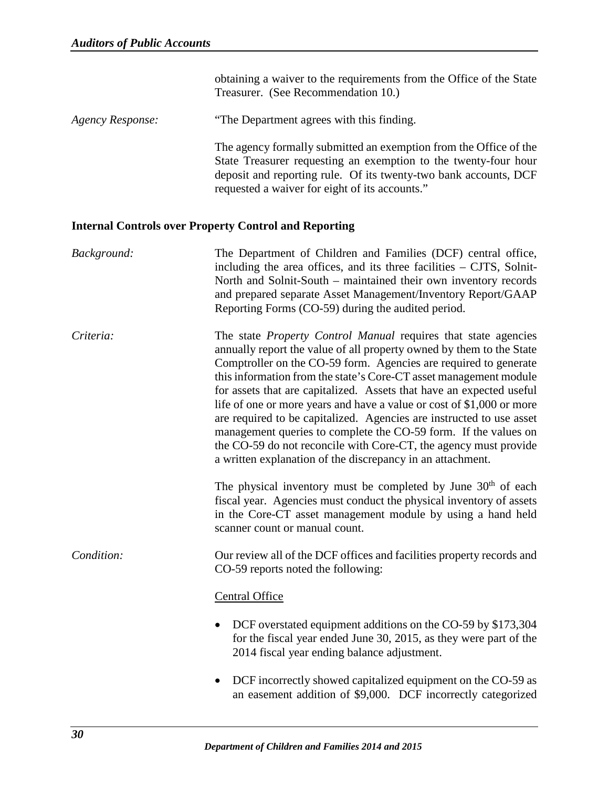obtaining a waiver to the requirements from the Office of the State Treasurer. (See Recommendation 10.)

*Agency Response:* "The Department agrees with this finding.

The agency formally submitted an exemption from the Office of the State Treasurer requesting an exemption to the twenty-four hour deposit and reporting rule. Of its twenty-two bank accounts, DCF requested a waiver for eight of its accounts."

### <span id="page-32-0"></span>**Internal Controls over Property Control and Reporting**

| Background: | The Department of Children and Families (DCF) central office,<br>including the area offices, and its three facilities $-$ CJTS, Solnit-<br>North and Solnit-South - maintained their own inventory records<br>and prepared separate Asset Management/Inventory Report/GAAP<br>Reporting Forms (CO-59) during the audited period.                                                                                                                                                                                                                                                                                                                                                                                     |
|-------------|----------------------------------------------------------------------------------------------------------------------------------------------------------------------------------------------------------------------------------------------------------------------------------------------------------------------------------------------------------------------------------------------------------------------------------------------------------------------------------------------------------------------------------------------------------------------------------------------------------------------------------------------------------------------------------------------------------------------|
| Criteria:   | The state <i>Property Control Manual</i> requires that state agencies<br>annually report the value of all property owned by them to the State<br>Comptroller on the CO-59 form. Agencies are required to generate<br>this information from the state's Core-CT asset management module<br>for assets that are capitalized. Assets that have an expected useful<br>life of one or more years and have a value or cost of \$1,000 or more<br>are required to be capitalized. Agencies are instructed to use asset<br>management queries to complete the CO-59 form. If the values on<br>the CO-59 do not reconcile with Core-CT, the agency must provide<br>a written explanation of the discrepancy in an attachment. |
|             | The physical inventory must be completed by June 30 <sup>th</sup> of each<br>fiscal year. Agencies must conduct the physical inventory of assets<br>in the Core-CT asset management module by using a hand held<br>scanner count or manual count.                                                                                                                                                                                                                                                                                                                                                                                                                                                                    |
| Condition:  | Our review all of the DCF offices and facilities property records and<br>CO-59 reports noted the following:                                                                                                                                                                                                                                                                                                                                                                                                                                                                                                                                                                                                          |
|             | Central Office                                                                                                                                                                                                                                                                                                                                                                                                                                                                                                                                                                                                                                                                                                       |
|             | DCF overstated equipment additions on the CO-59 by \$173,304<br>for the fiscal year ended June 30, 2015, as they were part of the<br>2014 fiscal year ending balance adjustment.                                                                                                                                                                                                                                                                                                                                                                                                                                                                                                                                     |
|             | DCF incorrectly showed capitalized equipment on the CO-59 as<br>an easement addition of \$9,000. DCF incorrectly categorized                                                                                                                                                                                                                                                                                                                                                                                                                                                                                                                                                                                         |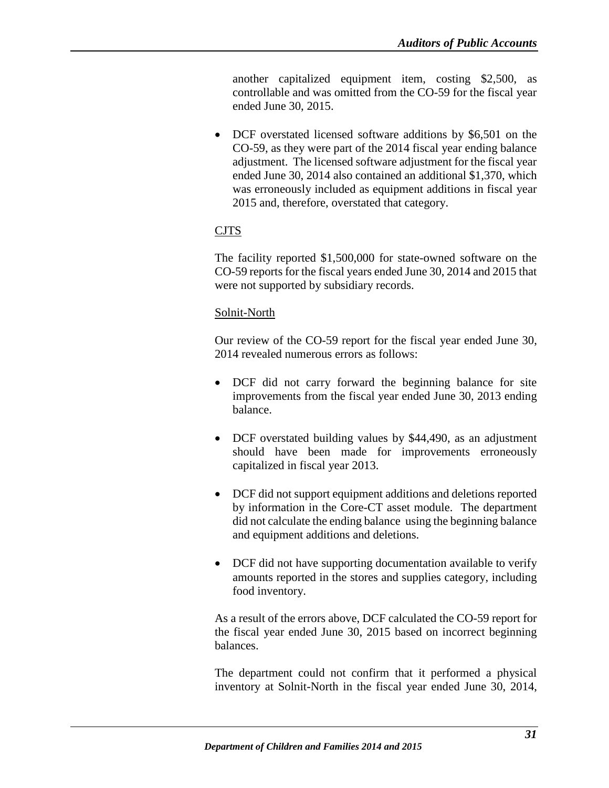another capitalized equipment item, costing \$2,500, as controllable and was omitted from the CO-59 for the fiscal year ended June 30, 2015.

• DCF overstated licensed software additions by \$6,501 on the CO-59, as they were part of the 2014 fiscal year ending balance adjustment. The licensed software adjustment for the fiscal year ended June 30, 2014 also contained an additional \$1,370, which was erroneously included as equipment additions in fiscal year 2015 and, therefore, overstated that category.

### CJTS

The facility reported \$1,500,000 for state-owned software on the CO-59 reports for the fiscal years ended June 30, 2014 and 2015 that were not supported by subsidiary records.

### Solnit-North

Our review of the CO-59 report for the fiscal year ended June 30, 2014 revealed numerous errors as follows:

- DCF did not carry forward the beginning balance for site improvements from the fiscal year ended June 30, 2013 ending balance.
- DCF overstated building values by \$44,490, as an adjustment should have been made for improvements erroneously capitalized in fiscal year 2013.
- DCF did not support equipment additions and deletions reported by information in the Core-CT asset module. The department did not calculate the ending balance using the beginning balance and equipment additions and deletions.
- DCF did not have supporting documentation available to verify amounts reported in the stores and supplies category, including food inventory.

As a result of the errors above, DCF calculated the CO-59 report for the fiscal year ended June 30, 2015 based on incorrect beginning balances.

The department could not confirm that it performed a physical inventory at Solnit-North in the fiscal year ended June 30, 2014,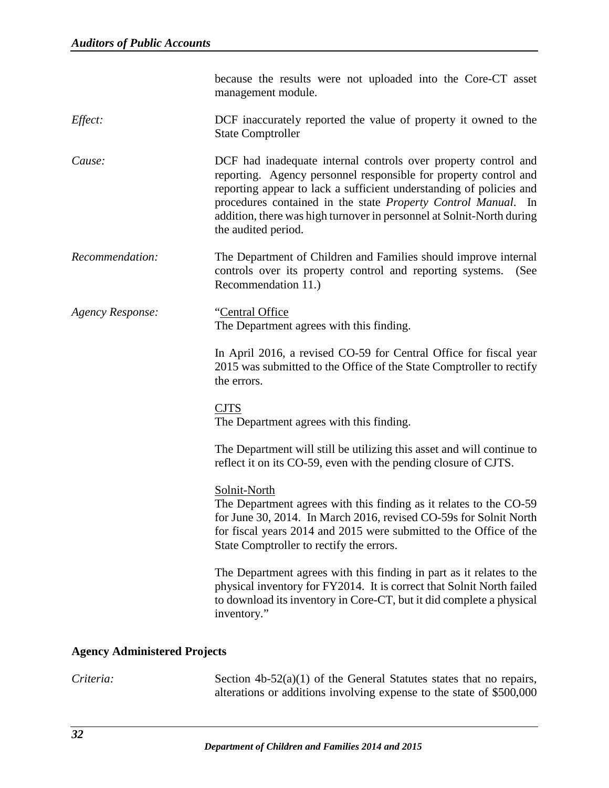<span id="page-34-0"></span>

|                                     | because the results were not uploaded into the Core-CT asset<br>management module.                                                                                                                                                                                                                                                                                         |  |
|-------------------------------------|----------------------------------------------------------------------------------------------------------------------------------------------------------------------------------------------------------------------------------------------------------------------------------------------------------------------------------------------------------------------------|--|
| Effect:                             | DCF inaccurately reported the value of property it owned to the<br><b>State Comptroller</b>                                                                                                                                                                                                                                                                                |  |
| Cause:                              | DCF had inadequate internal controls over property control and<br>reporting. Agency personnel responsible for property control and<br>reporting appear to lack a sufficient understanding of policies and<br>procedures contained in the state Property Control Manual. In<br>addition, there was high turnover in personnel at Solnit-North during<br>the audited period. |  |
| Recommendation:                     | The Department of Children and Families should improve internal<br>controls over its property control and reporting systems.<br>(See<br>Recommendation 11.)                                                                                                                                                                                                                |  |
| <b>Agency Response:</b>             | "Central Office"<br>The Department agrees with this finding.                                                                                                                                                                                                                                                                                                               |  |
|                                     | In April 2016, a revised CO-59 for Central Office for fiscal year<br>2015 was submitted to the Office of the State Comptroller to rectify<br>the errors.                                                                                                                                                                                                                   |  |
|                                     | <b>CJTS</b><br>The Department agrees with this finding.                                                                                                                                                                                                                                                                                                                    |  |
|                                     | The Department will still be utilizing this asset and will continue to<br>reflect it on its CO-59, even with the pending closure of CJTS.                                                                                                                                                                                                                                  |  |
|                                     | Solnit-North<br>The Department agrees with this finding as it relates to the CO-59<br>for June 30, 2014. In March 2016, revised CO-59s for Solnit North<br>for fiscal years 2014 and 2015 were submitted to the Office of the<br>State Comptroller to rectify the errors.                                                                                                  |  |
|                                     | The Department agrees with this finding in part as it relates to the<br>physical inventory for FY2014. It is correct that Solnit North failed<br>to download its inventory in Core-CT, but it did complete a physical<br>inventory."                                                                                                                                       |  |
| <b>Agency Administered Projects</b> |                                                                                                                                                                                                                                                                                                                                                                            |  |
| Criteria:                           | Section $4b-52(a)(1)$ of the General Statutes states that no repairs,<br>alterations or additions involving expense to the state of \$500,000                                                                                                                                                                                                                              |  |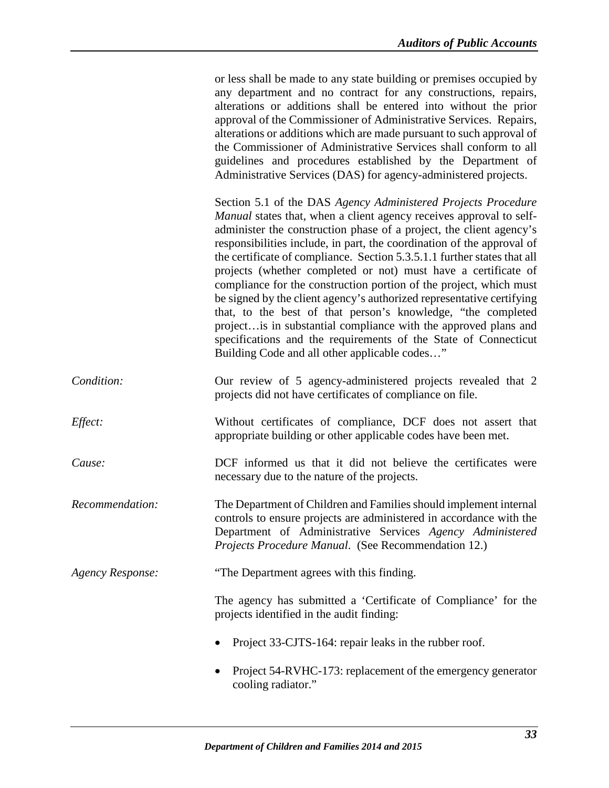|                         | or less shall be made to any state building or premises occupied by<br>any department and no contract for any constructions, repairs,<br>alterations or additions shall be entered into without the prior<br>approval of the Commissioner of Administrative Services. Repairs,<br>alterations or additions which are made pursuant to such approval of<br>the Commissioner of Administrative Services shall conform to all<br>guidelines and procedures established by the Department of<br>Administrative Services (DAS) for agency-administered projects.                                                                                                                                                                                                                                                                                |
|-------------------------|--------------------------------------------------------------------------------------------------------------------------------------------------------------------------------------------------------------------------------------------------------------------------------------------------------------------------------------------------------------------------------------------------------------------------------------------------------------------------------------------------------------------------------------------------------------------------------------------------------------------------------------------------------------------------------------------------------------------------------------------------------------------------------------------------------------------------------------------|
|                         | Section 5.1 of the DAS Agency Administered Projects Procedure<br>Manual states that, when a client agency receives approval to self-<br>administer the construction phase of a project, the client agency's<br>responsibilities include, in part, the coordination of the approval of<br>the certificate of compliance. Section 5.3.5.1.1 further states that all<br>projects (whether completed or not) must have a certificate of<br>compliance for the construction portion of the project, which must<br>be signed by the client agency's authorized representative certifying<br>that, to the best of that person's knowledge, "the completed<br>project is in substantial compliance with the approved plans and<br>specifications and the requirements of the State of Connecticut<br>Building Code and all other applicable codes" |
| Condition:              | Our review of 5 agency-administered projects revealed that 2<br>projects did not have certificates of compliance on file.                                                                                                                                                                                                                                                                                                                                                                                                                                                                                                                                                                                                                                                                                                                  |
| Effect:                 | Without certificates of compliance, DCF does not assert that<br>appropriate building or other applicable codes have been met.                                                                                                                                                                                                                                                                                                                                                                                                                                                                                                                                                                                                                                                                                                              |
| Cause:                  | DCF informed us that it did not believe the certificates were<br>necessary due to the nature of the projects.                                                                                                                                                                                                                                                                                                                                                                                                                                                                                                                                                                                                                                                                                                                              |
| Recommendation:         | The Department of Children and Families should implement internal<br>controls to ensure projects are administered in accordance with the<br>Department of Administrative Services Agency Administered<br>Projects Procedure Manual. (See Recommendation 12.)                                                                                                                                                                                                                                                                                                                                                                                                                                                                                                                                                                               |
| <b>Agency Response:</b> | "The Department agrees with this finding.                                                                                                                                                                                                                                                                                                                                                                                                                                                                                                                                                                                                                                                                                                                                                                                                  |
|                         | The agency has submitted a 'Certificate of Compliance' for the<br>projects identified in the audit finding:                                                                                                                                                                                                                                                                                                                                                                                                                                                                                                                                                                                                                                                                                                                                |
|                         | Project 33-CJTS-164: repair leaks in the rubber roof.                                                                                                                                                                                                                                                                                                                                                                                                                                                                                                                                                                                                                                                                                                                                                                                      |
|                         | Project 54-RVHC-173: replacement of the emergency generator<br>cooling radiator."                                                                                                                                                                                                                                                                                                                                                                                                                                                                                                                                                                                                                                                                                                                                                          |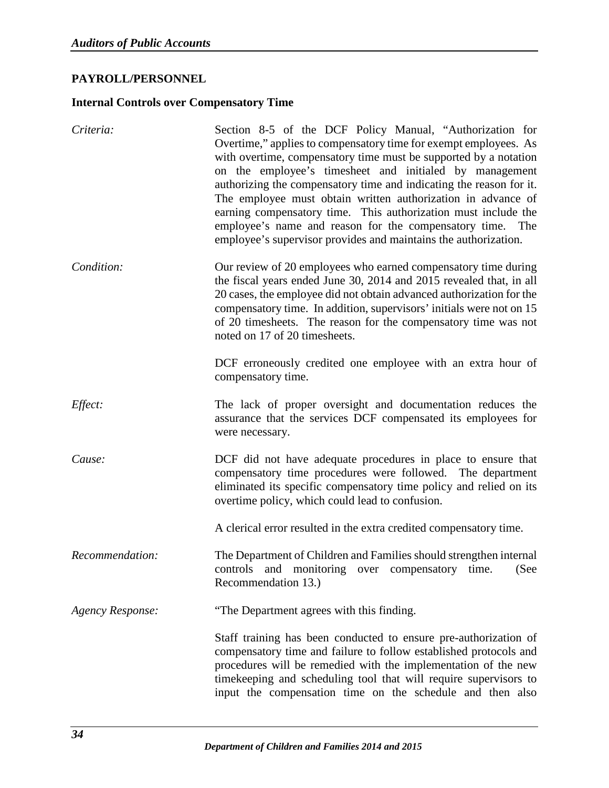# <span id="page-36-0"></span>**PAYROLL/PERSONNEL**

### <span id="page-36-1"></span>**Internal Controls over Compensatory Time**

| Criteria:               | Section 8-5 of the DCF Policy Manual, "Authorization for<br>Overtime," applies to compensatory time for exempt employees. As<br>with overtime, compensatory time must be supported by a notation<br>on the employee's timesheet and initialed by management<br>authorizing the compensatory time and indicating the reason for it.<br>The employee must obtain written authorization in advance of<br>earning compensatory time. This authorization must include the<br>employee's name and reason for the compensatory time. The<br>employee's supervisor provides and maintains the authorization. |
|-------------------------|------------------------------------------------------------------------------------------------------------------------------------------------------------------------------------------------------------------------------------------------------------------------------------------------------------------------------------------------------------------------------------------------------------------------------------------------------------------------------------------------------------------------------------------------------------------------------------------------------|
| Condition:              | Our review of 20 employees who earned compensatory time during<br>the fiscal years ended June 30, 2014 and 2015 revealed that, in all<br>20 cases, the employee did not obtain advanced authorization for the<br>compensatory time. In addition, supervisors' initials were not on 15<br>of 20 timesheets. The reason for the compensatory time was not<br>noted on 17 of 20 timesheets.                                                                                                                                                                                                             |
|                         | DCF erroneously credited one employee with an extra hour of<br>compensatory time.                                                                                                                                                                                                                                                                                                                                                                                                                                                                                                                    |
| Effect:                 | The lack of proper oversight and documentation reduces the<br>assurance that the services DCF compensated its employees for<br>were necessary.                                                                                                                                                                                                                                                                                                                                                                                                                                                       |
| Cause:                  | DCF did not have adequate procedures in place to ensure that<br>compensatory time procedures were followed. The department<br>eliminated its specific compensatory time policy and relied on its<br>overtime policy, which could lead to confusion.                                                                                                                                                                                                                                                                                                                                                  |
|                         | A clerical error resulted in the extra credited compensatory time.                                                                                                                                                                                                                                                                                                                                                                                                                                                                                                                                   |
| Recommendation:         | The Department of Children and Families should strengthen internal<br>controls and monitoring over compensatory time.<br>(See<br>Recommendation 13.)                                                                                                                                                                                                                                                                                                                                                                                                                                                 |
| <b>Agency Response:</b> | "The Department agrees with this finding.                                                                                                                                                                                                                                                                                                                                                                                                                                                                                                                                                            |
|                         | Staff training has been conducted to ensure pre-authorization of<br>compensatory time and failure to follow established protocols and<br>procedures will be remedied with the implementation of the new<br>timekeeping and scheduling tool that will require supervisors to<br>input the compensation time on the schedule and then also                                                                                                                                                                                                                                                             |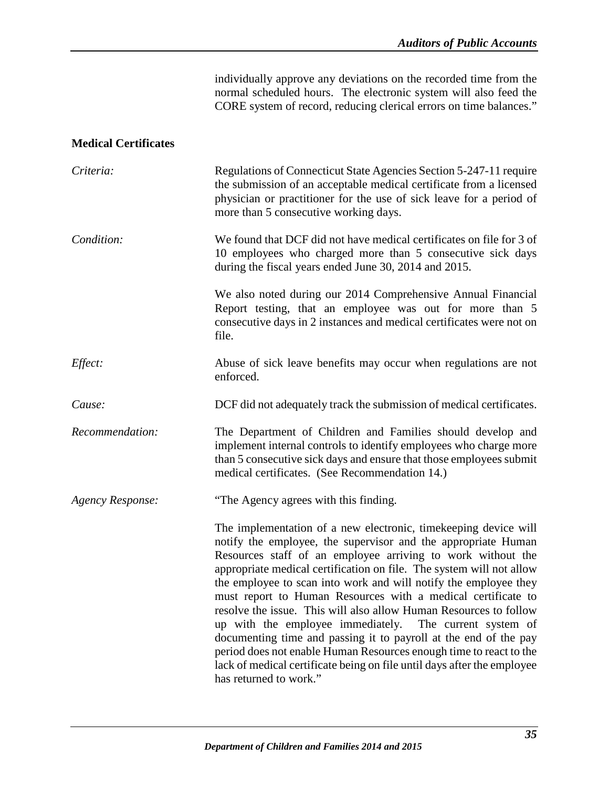individually approve any deviations on the recorded time from the normal scheduled hours. The electronic system will also feed the CORE system of record, reducing clerical errors on time balances."

### <span id="page-37-0"></span>**Medical Certificates**

| Criteria:               | Regulations of Connecticut State Agencies Section 5-247-11 require<br>the submission of an acceptable medical certificate from a licensed<br>physician or practitioner for the use of sick leave for a period of<br>more than 5 consecutive working days.                                                                                                                                                                                                                                                                                                                                                                                                                                                                                                                                     |
|-------------------------|-----------------------------------------------------------------------------------------------------------------------------------------------------------------------------------------------------------------------------------------------------------------------------------------------------------------------------------------------------------------------------------------------------------------------------------------------------------------------------------------------------------------------------------------------------------------------------------------------------------------------------------------------------------------------------------------------------------------------------------------------------------------------------------------------|
| Condition:              | We found that DCF did not have medical certificates on file for 3 of<br>10 employees who charged more than 5 consecutive sick days<br>during the fiscal years ended June 30, 2014 and 2015.                                                                                                                                                                                                                                                                                                                                                                                                                                                                                                                                                                                                   |
|                         | We also noted during our 2014 Comprehensive Annual Financial<br>Report testing, that an employee was out for more than 5<br>consecutive days in 2 instances and medical certificates were not on<br>file.                                                                                                                                                                                                                                                                                                                                                                                                                                                                                                                                                                                     |
| Effect:                 | Abuse of sick leave benefits may occur when regulations are not<br>enforced.                                                                                                                                                                                                                                                                                                                                                                                                                                                                                                                                                                                                                                                                                                                  |
| Cause:                  | DCF did not adequately track the submission of medical certificates.                                                                                                                                                                                                                                                                                                                                                                                                                                                                                                                                                                                                                                                                                                                          |
| Recommendation:         | The Department of Children and Families should develop and<br>implement internal controls to identify employees who charge more<br>than 5 consecutive sick days and ensure that those employees submit<br>medical certificates. (See Recommendation 14.)                                                                                                                                                                                                                                                                                                                                                                                                                                                                                                                                      |
| <b>Agency Response:</b> | "The Agency agrees with this finding.                                                                                                                                                                                                                                                                                                                                                                                                                                                                                                                                                                                                                                                                                                                                                         |
|                         | The implementation of a new electronic, timekeeping device will<br>notify the employee, the supervisor and the appropriate Human<br>Resources staff of an employee arriving to work without the<br>appropriate medical certification on file. The system will not allow<br>the employee to scan into work and will notify the employee they<br>must report to Human Resources with a medical certificate to<br>resolve the issue. This will also allow Human Resources to follow<br>up with the employee immediately.<br>The current system of<br>documenting time and passing it to payroll at the end of the pay<br>period does not enable Human Resources enough time to react to the<br>lack of medical certificate being on file until days after the employee<br>has returned to work." |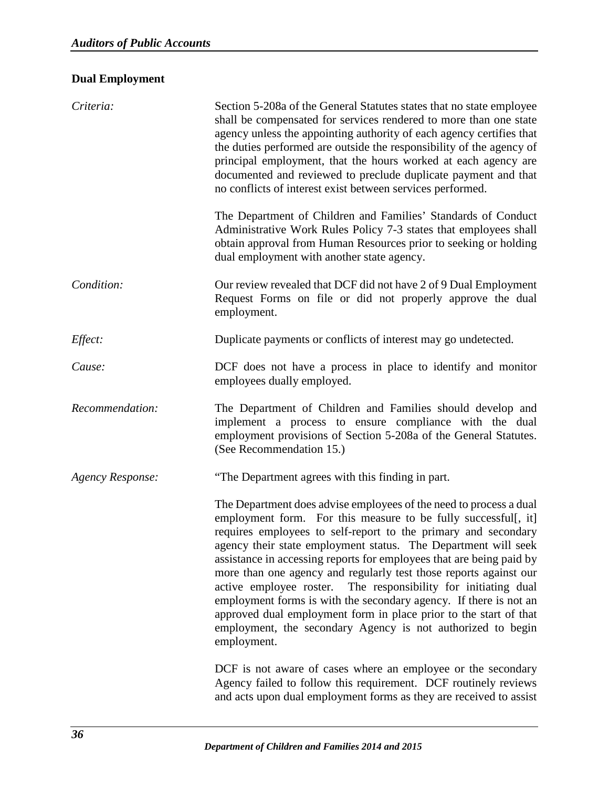# <span id="page-38-0"></span>**Dual Employment**

| Criteria:               | Section 5-208a of the General Statutes states that no state employee<br>shall be compensated for services rendered to more than one state<br>agency unless the appointing authority of each agency certifies that<br>the duties performed are outside the responsibility of the agency of<br>principal employment, that the hours worked at each agency are<br>documented and reviewed to preclude duplicate payment and that<br>no conflicts of interest exist between services performed.                                                                                                                                                                                                                     |
|-------------------------|-----------------------------------------------------------------------------------------------------------------------------------------------------------------------------------------------------------------------------------------------------------------------------------------------------------------------------------------------------------------------------------------------------------------------------------------------------------------------------------------------------------------------------------------------------------------------------------------------------------------------------------------------------------------------------------------------------------------|
|                         | The Department of Children and Families' Standards of Conduct<br>Administrative Work Rules Policy 7-3 states that employees shall<br>obtain approval from Human Resources prior to seeking or holding<br>dual employment with another state agency.                                                                                                                                                                                                                                                                                                                                                                                                                                                             |
| Condition:              | Our review revealed that DCF did not have 2 of 9 Dual Employment<br>Request Forms on file or did not properly approve the dual<br>employment.                                                                                                                                                                                                                                                                                                                                                                                                                                                                                                                                                                   |
| Effect:                 | Duplicate payments or conflicts of interest may go undetected.                                                                                                                                                                                                                                                                                                                                                                                                                                                                                                                                                                                                                                                  |
| Cause:                  | DCF does not have a process in place to identify and monitor<br>employees dually employed.                                                                                                                                                                                                                                                                                                                                                                                                                                                                                                                                                                                                                      |
| Recommendation:         | The Department of Children and Families should develop and<br>implement a process to ensure compliance with the dual<br>employment provisions of Section 5-208a of the General Statutes.<br>(See Recommendation 15.)                                                                                                                                                                                                                                                                                                                                                                                                                                                                                            |
| <b>Agency Response:</b> | "The Department agrees with this finding in part.                                                                                                                                                                                                                                                                                                                                                                                                                                                                                                                                                                                                                                                               |
|                         | The Department does advise employees of the need to process a dual<br>employment form. For this measure to be fully successful[, it]<br>requires employees to self-report to the primary and secondary<br>agency their state employment status. The Department will seek<br>assistance in accessing reports for employees that are being paid by<br>more than one agency and regularly test those reports against our<br>active employee roster. The responsibility for initiating dual<br>employment forms is with the secondary agency. If there is not an<br>approved dual employment form in place prior to the start of that<br>employment, the secondary Agency is not authorized to begin<br>employment. |
|                         | DCF is not aware of cases where an employee or the secondary<br>Agency failed to follow this requirement. DCF routinely reviews<br>and acts upon dual employment forms as they are received to assist                                                                                                                                                                                                                                                                                                                                                                                                                                                                                                           |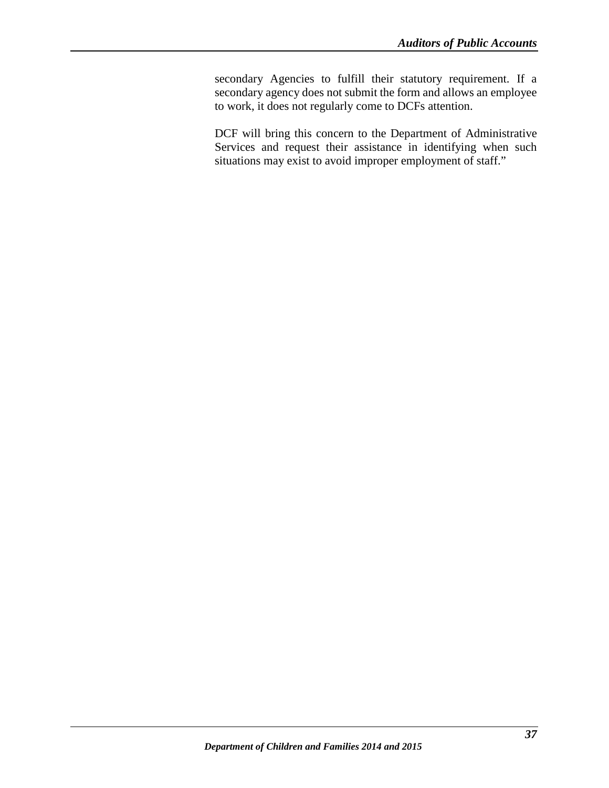secondary Agencies to fulfill their statutory requirement. If a secondary agency does not submit the form and allows an employee to work, it does not regularly come to DCFs attention.

DCF will bring this concern to the Department of Administrative Services and request their assistance in identifying when such situations may exist to avoid improper employment of staff."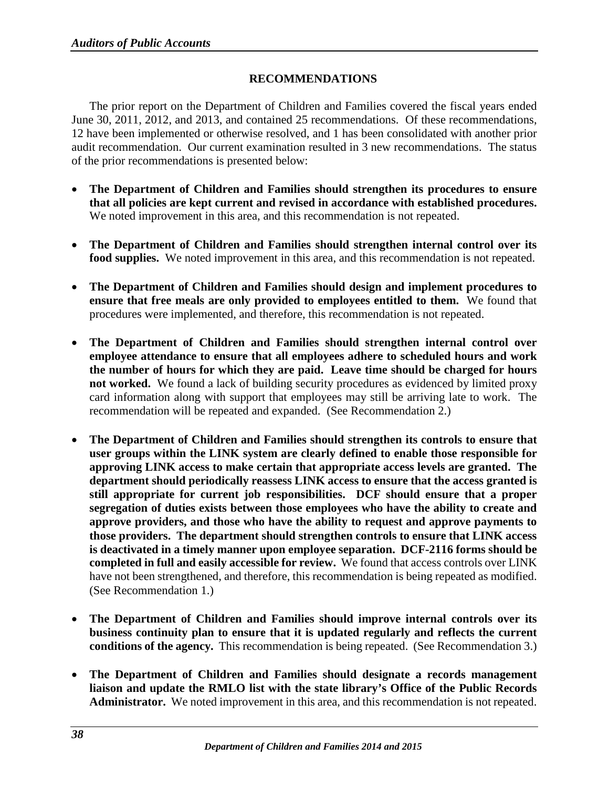### **RECOMMENDATIONS**

<span id="page-40-0"></span>The prior report on the Department of Children and Families covered the fiscal years ended June 30, 2011, 2012, and 2013, and contained 25 recommendations. Of these recommendations, 12 have been implemented or otherwise resolved, and 1 has been consolidated with another prior audit recommendation. Our current examination resulted in 3 new recommendations. The status of the prior recommendations is presented below:

- **The Department of Children and Families should strengthen its procedures to ensure that all policies are kept current and revised in accordance with established procedures.**  We noted improvement in this area, and this recommendation is not repeated.
- **The Department of Children and Families should strengthen internal control over its food supplies.** We noted improvement in this area, and this recommendation is not repeated.
- **The Department of Children and Families should design and implement procedures to ensure that free meals are only provided to employees entitled to them.** We found that procedures were implemented, and therefore, this recommendation is not repeated.
- **The Department of Children and Families should strengthen internal control over employee attendance to ensure that all employees adhere to scheduled hours and work the number of hours for which they are paid. Leave time should be charged for hours not worked.** We found a lack of building security procedures as evidenced by limited proxy card information along with support that employees may still be arriving late to work. The recommendation will be repeated and expanded. (See Recommendation 2.)
- **The Department of Children and Families should strengthen its controls to ensure that user groups within the LINK system are clearly defined to enable those responsible for approving LINK access to make certain that appropriate access levels are granted. The department should periodically reassess LINK access to ensure that the access granted is still appropriate for current job responsibilities. DCF should ensure that a proper segregation of duties exists between those employees who have the ability to create and approve providers, and those who have the ability to request and approve payments to those providers. The department should strengthen controls to ensure that LINK access is deactivated in a timely manner upon employee separation. DCF-2116 forms should be completed in full and easily accessible for review.** We found that access controls over LINK have not been strengthened, and therefore, this recommendation is being repeated as modified. (See Recommendation 1.)
- **The Department of Children and Families should improve internal controls over its business continuity plan to ensure that it is updated regularly and reflects the current conditions of the agency.** This recommendation is being repeated. (See Recommendation 3.)
- **The Department of Children and Families should designate a records management liaison and update the RMLO list with the state library's Office of the Public Records Administrator.** We noted improvement in this area, and this recommendation is not repeated.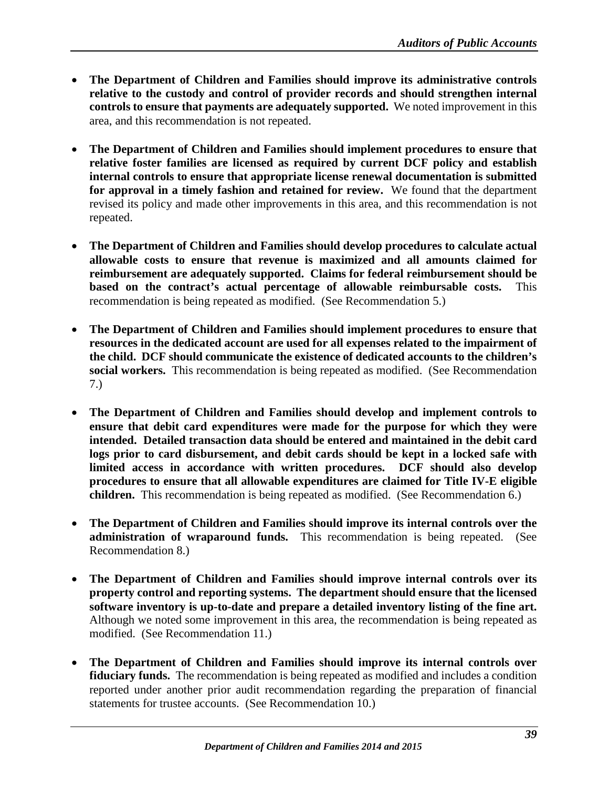- **The Department of Children and Families should improve its administrative controls relative to the custody and control of provider records and should strengthen internal controls to ensure that payments are adequately supported.** We noted improvement in this area, and this recommendation is not repeated.
- **The Department of Children and Families should implement procedures to ensure that relative foster families are licensed as required by current DCF policy and establish internal controls to ensure that appropriate license renewal documentation is submitted for approval in a timely fashion and retained for review.** We found that the department revised its policy and made other improvements in this area, and this recommendation is not repeated.
- **The Department of Children and Families should develop procedures to calculate actual allowable costs to ensure that revenue is maximized and all amounts claimed for reimbursement are adequately supported. Claims for federal reimbursement should be based on the contract's actual percentage of allowable reimbursable costs.** This recommendation is being repeated as modified. (See Recommendation 5.)
- **The Department of Children and Families should implement procedures to ensure that resources in the dedicated account are used for all expenses related to the impairment of the child. DCF should communicate the existence of dedicated accounts to the children's social workers.** This recommendation is being repeated as modified. (See Recommendation 7.)
- **The Department of Children and Families should develop and implement controls to ensure that debit card expenditures were made for the purpose for which they were intended. Detailed transaction data should be entered and maintained in the debit card logs prior to card disbursement, and debit cards should be kept in a locked safe with limited access in accordance with written procedures. DCF should also develop procedures to ensure that all allowable expenditures are claimed for Title IV-E eligible children.** This recommendation is being repeated as modified. (See Recommendation 6.)
- **The Department of Children and Families should improve its internal controls over the administration of wraparound funds.** This recommendation is being repeated. (See Recommendation 8.)
- **The Department of Children and Families should improve internal controls over its property control and reporting systems. The department should ensure that the licensed software inventory is up-to-date and prepare a detailed inventory listing of the fine art.**  Although we noted some improvement in this area, the recommendation is being repeated as modified. (See Recommendation 11.)
- **The Department of Children and Families should improve its internal controls over fiduciary funds.** The recommendation is being repeated as modified and includes a condition reported under another prior audit recommendation regarding the preparation of financial statements for trustee accounts. (See Recommendation 10.)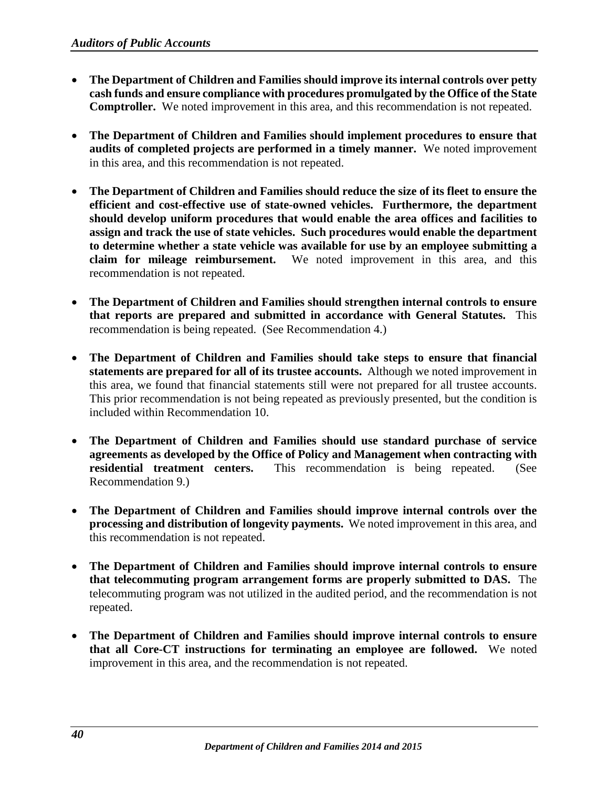- **The Department of Children and Families should improve its internal controls over petty cash funds and ensure compliance with procedures promulgated by the Office of the State Comptroller.** We noted improvement in this area, and this recommendation is not repeated.
- **The Department of Children and Families should implement procedures to ensure that audits of completed projects are performed in a timely manner.** We noted improvement in this area, and this recommendation is not repeated.
- **The Department of Children and Families should reduce the size of its fleet to ensure the efficient and cost-effective use of state-owned vehicles. Furthermore, the department should develop uniform procedures that would enable the area offices and facilities to assign and track the use of state vehicles. Such procedures would enable the department to determine whether a state vehicle was available for use by an employee submitting a claim for mileage reimbursement.** We noted improvement in this area, and this recommendation is not repeated.
- **The Department of Children and Families should strengthen internal controls to ensure that reports are prepared and submitted in accordance with General Statutes.** This recommendation is being repeated. (See Recommendation 4.)
- **The Department of Children and Families should take steps to ensure that financial statements are prepared for all of its trustee accounts.** Although we noted improvement in this area, we found that financial statements still were not prepared for all trustee accounts. This prior recommendation is not being repeated as previously presented, but the condition is included within Recommendation 10.
- **The Department of Children and Families should use standard purchase of service agreements as developed by the Office of Policy and Management when contracting with residential treatment centers.** This recommendation is being repeated. (See Recommendation 9.)
- **The Department of Children and Families should improve internal controls over the processing and distribution of longevity payments.** We noted improvement in this area, and this recommendation is not repeated.
- **The Department of Children and Families should improve internal controls to ensure that telecommuting program arrangement forms are properly submitted to DAS.** The telecommuting program was not utilized in the audited period, and the recommendation is not repeated.
- **The Department of Children and Families should improve internal controls to ensure that all Core-CT instructions for terminating an employee are followed.** We noted improvement in this area, and the recommendation is not repeated.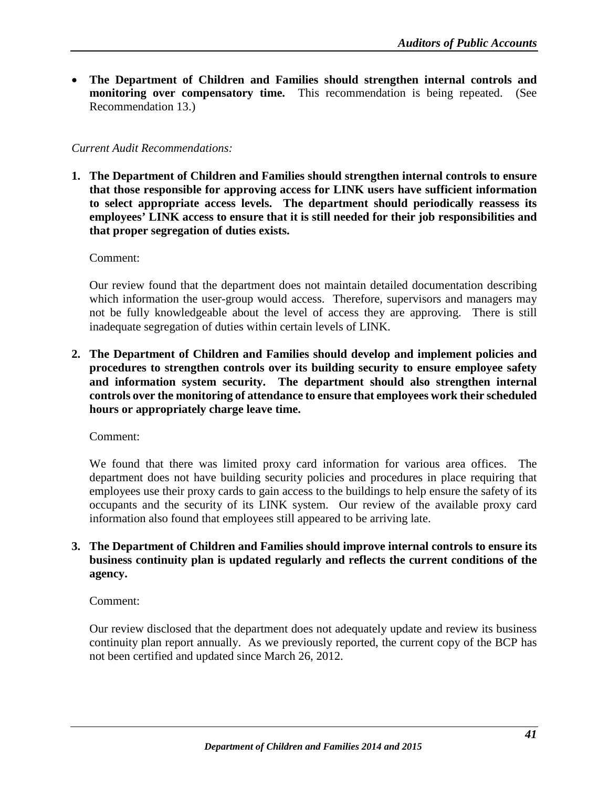• **The Department of Children and Families should strengthen internal controls and monitoring over compensatory time.** This recommendation is being repeated. (See Recommendation 13.)

### *Current Audit Recommendations:*

**1. The Department of Children and Families should strengthen internal controls to ensure that those responsible for approving access for LINK users have sufficient information to select appropriate access levels. The department should periodically reassess its employees' LINK access to ensure that it is still needed for their job responsibilities and that proper segregation of duties exists.**

Comment:

Our review found that the department does not maintain detailed documentation describing which information the user-group would access. Therefore, supervisors and managers may not be fully knowledgeable about the level of access they are approving. There is still inadequate segregation of duties within certain levels of LINK.

**2. The Department of Children and Families should develop and implement policies and procedures to strengthen controls over its building security to ensure employee safety and information system security. The department should also strengthen internal controls over the monitoring of attendance to ensure that employees work their scheduled hours or appropriately charge leave time.** 

Comment:

We found that there was limited proxy card information for various area offices. The department does not have building security policies and procedures in place requiring that employees use their proxy cards to gain access to the buildings to help ensure the safety of its occupants and the security of its LINK system. Our review of the available proxy card information also found that employees still appeared to be arriving late.

### **3. The Department of Children and Families should improve internal controls to ensure its business continuity plan is updated regularly and reflects the current conditions of the agency.**

Comment:

Our review disclosed that the department does not adequately update and review its business continuity plan report annually. As we previously reported, the current copy of the BCP has not been certified and updated since March 26, 2012.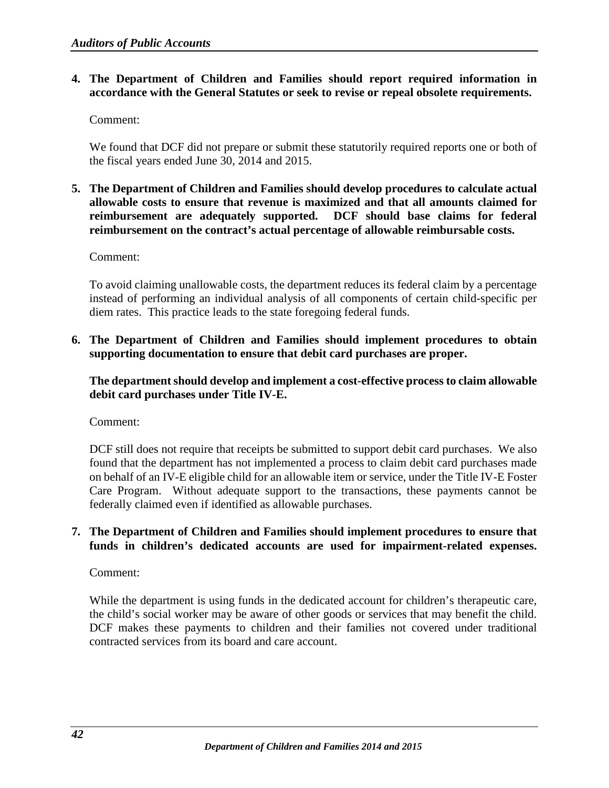### **4. The Department of Children and Families should report required information in accordance with the General Statutes or seek to revise or repeal obsolete requirements.**

Comment:

We found that DCF did not prepare or submit these statutorily required reports one or both of the fiscal years ended June 30, 2014 and 2015.

**5. The Department of Children and Families should develop procedures to calculate actual allowable costs to ensure that revenue is maximized and that all amounts claimed for reimbursement are adequately supported. DCF should base claims for federal reimbursement on the contract's actual percentage of allowable reimbursable costs.**

Comment:

To avoid claiming unallowable costs, the department reduces its federal claim by a percentage instead of performing an individual analysis of all components of certain child-specific per diem rates. This practice leads to the state foregoing federal funds.

**6. The Department of Children and Families should implement procedures to obtain supporting documentation to ensure that debit card purchases are proper.** 

**The department should develop and implement a cost-effective process to claim allowable debit card purchases under Title IV-E.**

Comment:

DCF still does not require that receipts be submitted to support debit card purchases. We also found that the department has not implemented a process to claim debit card purchases made on behalf of an IV-E eligible child for an allowable item or service, under the Title IV-E Foster Care Program. Without adequate support to the transactions, these payments cannot be federally claimed even if identified as allowable purchases.

### **7. The Department of Children and Families should implement procedures to ensure that funds in children's dedicated accounts are used for impairment-related expenses.**

Comment:

While the department is using funds in the dedicated account for children's therapeutic care, the child's social worker may be aware of other goods or services that may benefit the child. DCF makes these payments to children and their families not covered under traditional contracted services from its board and care account.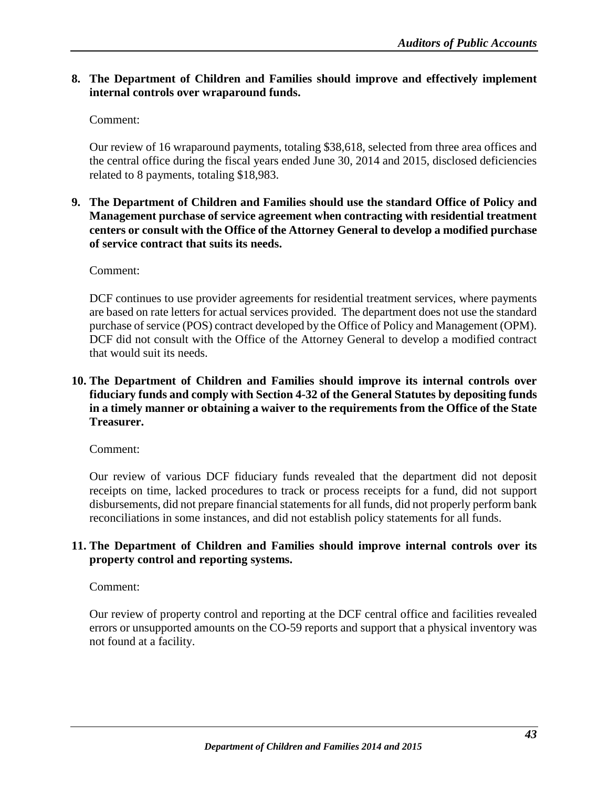### **8. The Department of Children and Families should improve and effectively implement internal controls over wraparound funds.**

### Comment:

Our review of 16 wraparound payments, totaling \$38,618, selected from three area offices and the central office during the fiscal years ended June 30, 2014 and 2015, disclosed deficiencies related to 8 payments, totaling \$18,983.

### **9. The Department of Children and Families should use the standard Office of Policy and Management purchase of service agreement when contracting with residential treatment centers or consult with the Office of the Attorney General to develop a modified purchase of service contract that suits its needs.**

### Comment:

DCF continues to use provider agreements for residential treatment services, where payments are based on rate letters for actual services provided. The department does not use the standard purchase of service (POS) contract developed by the Office of Policy and Management (OPM). DCF did not consult with the Office of the Attorney General to develop a modified contract that would suit its needs.

### **10. The Department of Children and Families should improve its internal controls over fiduciary funds and comply with Section 4-32 of the General Statutes by depositing funds in a timely manner or obtaining a waiver to the requirements from the Office of the State Treasurer.**

### Comment:

Our review of various DCF fiduciary funds revealed that the department did not deposit receipts on time, lacked procedures to track or process receipts for a fund, did not support disbursements, did not prepare financial statements for all funds, did not properly perform bank reconciliations in some instances, and did not establish policy statements for all funds.

### **11. The Department of Children and Families should improve internal controls over its property control and reporting systems.**

### Comment:

Our review of property control and reporting at the DCF central office and facilities revealed errors or unsupported amounts on the CO-59 reports and support that a physical inventory was not found at a facility.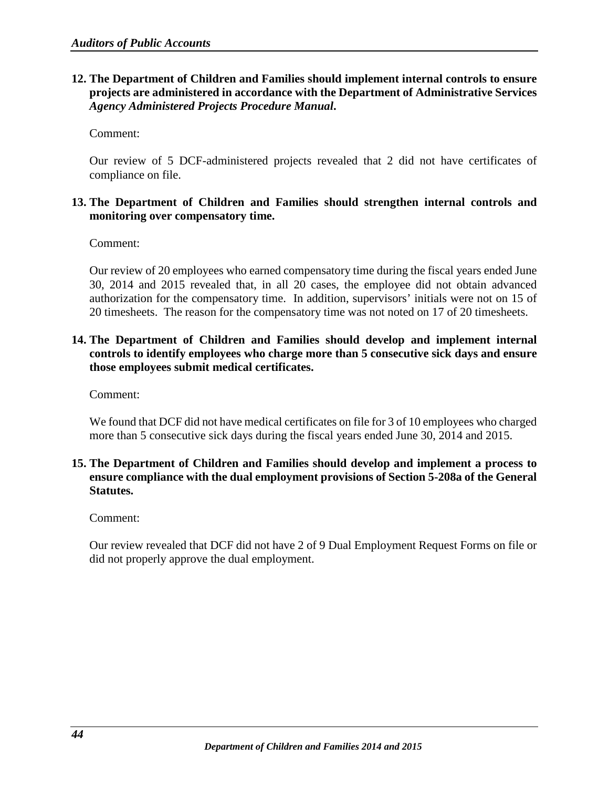### **12. The Department of Children and Families should implement internal controls to ensure projects are administered in accordance with the Department of Administrative Services**  *Agency Administered Projects Procedure Manual***.**

Comment:

Our review of 5 DCF-administered projects revealed that 2 did not have certificates of compliance on file.

### **13. The Department of Children and Families should strengthen internal controls and monitoring over compensatory time.**

Comment:

Our review of 20 employees who earned compensatory time during the fiscal years ended June 30, 2014 and 2015 revealed that, in all 20 cases, the employee did not obtain advanced authorization for the compensatory time. In addition, supervisors' initials were not on 15 of 20 timesheets. The reason for the compensatory time was not noted on 17 of 20 timesheets.

### **14. The Department of Children and Families should develop and implement internal controls to identify employees who charge more than 5 consecutive sick days and ensure those employees submit medical certificates.**

Comment:

We found that DCF did not have medical certificates on file for 3 of 10 employees who charged more than 5 consecutive sick days during the fiscal years ended June 30, 2014 and 2015.

### **15. The Department of Children and Families should develop and implement a process to ensure compliance with the dual employment provisions of Section 5-208a of the General Statutes.**

Comment:

Our review revealed that DCF did not have 2 of 9 Dual Employment Request Forms on file or did not properly approve the dual employment.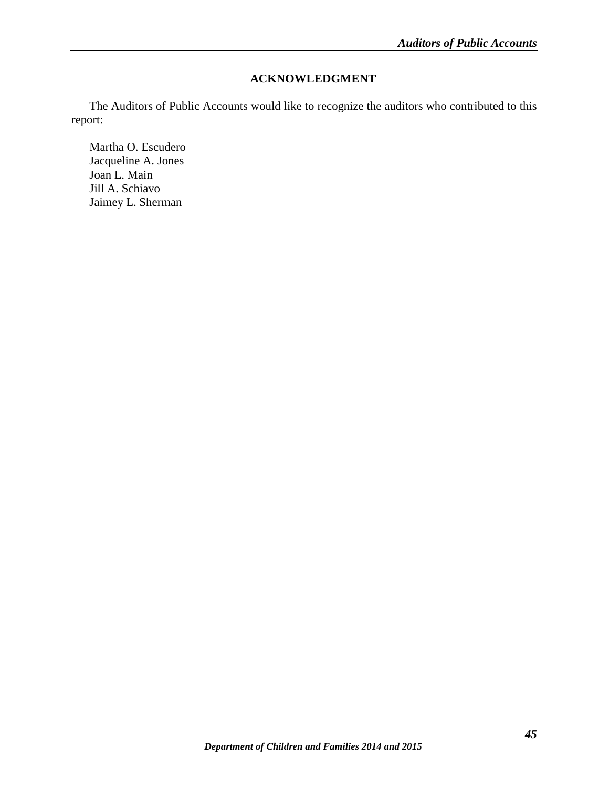# **ACKNOWLEDGMENT**

<span id="page-47-0"></span>The Auditors of Public Accounts would like to recognize the auditors who contributed to this report:

Martha O. Escudero Jacqueline A. Jones Joan L. Main Jill A. Schiavo Jaimey L. Sherman